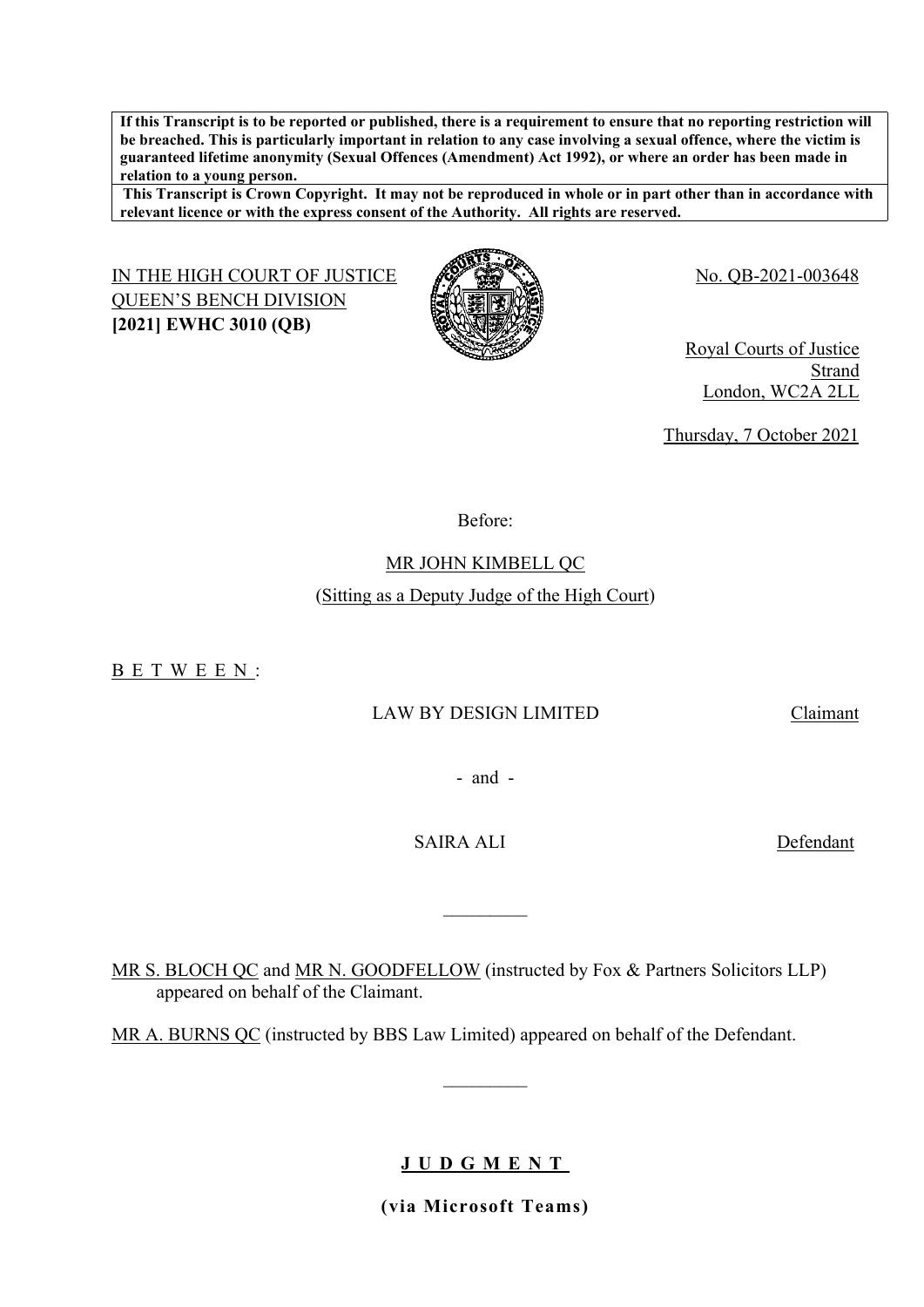**If this Transcript is to be reported or published, there is a requirement to ensure that no reporting restriction will be breached. This is particularly important in relation to any case involving a sexual offence, where the victim is guaranteed lifetime anonymity (Sexual Offences (Amendment) Act 1992), or where an order has been made in relation to a young person.**

**This Transcript is Crown Copyright. It may not be reproduced in whole or in part other than in accordance with relevant licence or with the express consent of the Authority. All rights are reserved.**

IN THE HIGH COURT OF JUSTICE AND COURT OF STRAIN STRAINS QUEEN'S BENCH DIVISION **[2021] EWHC 3010 (QB)**



Royal Courts of Justice Strand London, WC2A 2LL

Thursday, 7 October 2021

Before:

MR JOHN KIMBELL QC

## (Sitting as a Deputy Judge of the High Court)

B E T W E E N :

## LAW BY DESIGN LIMITED Claimant

- and -

 $\frac{1}{2}$ 

SAIRA ALI Defendant

MR S. BLOCH QC and MR N. GOODFELLOW (instructed by Fox & Partners Solicitors LLP) appeared on behalf of the Claimant.

MR A. BURNS QC (instructed by BBS Law Limited) appeared on behalf of the Defendant.

# **J U D G M E N T**

 $\frac{1}{2}$ 

**(via Microsoft Teams)**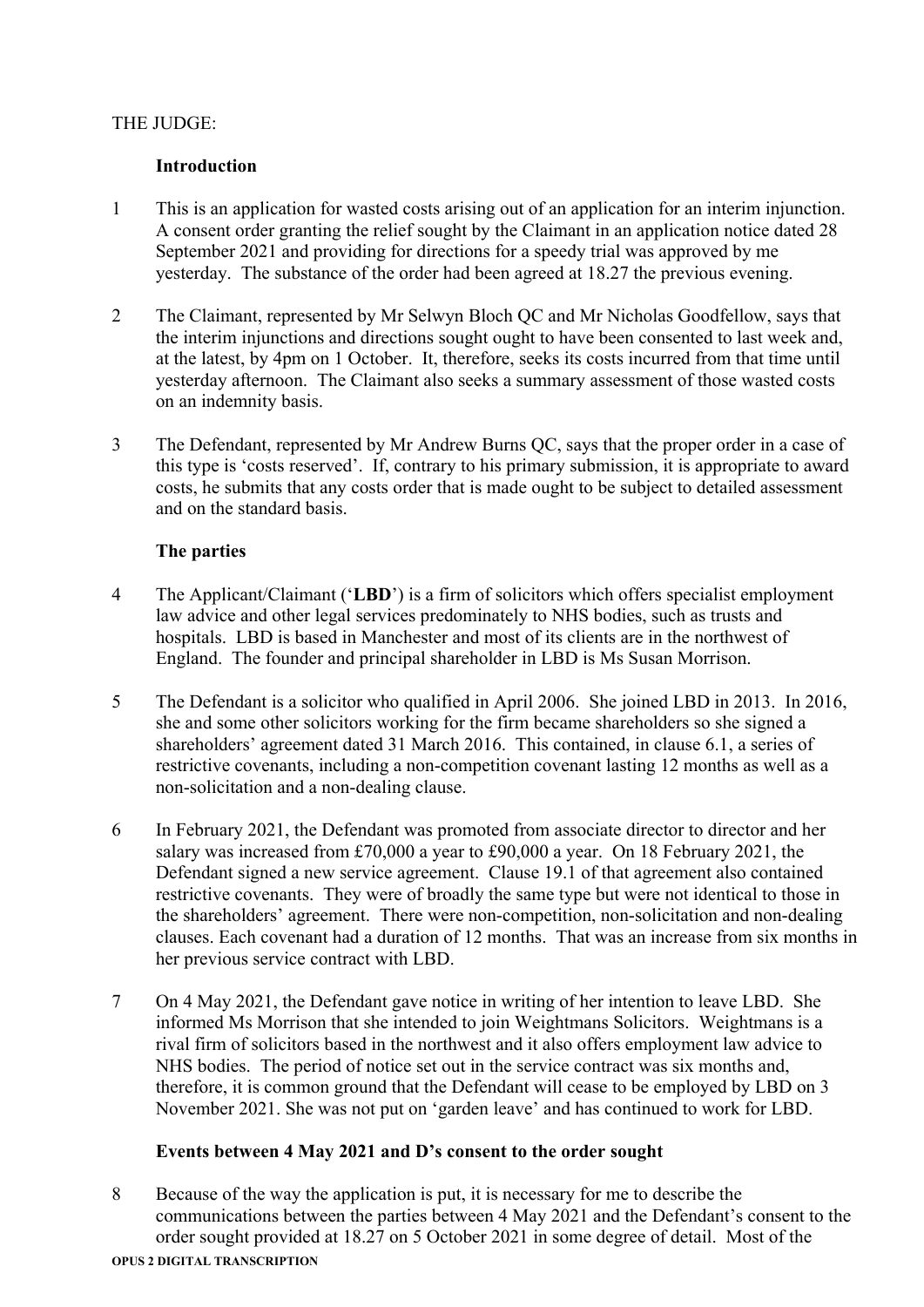## THE JUDGE:

### **Introduction**

- 1 This is an application for wasted costs arising out of an application for an interim injunction. A consent order granting the relief sought by the Claimant in an application notice dated 28 September 2021 and providing for directions for a speedy trial was approved by me yesterday. The substance of the order had been agreed at 18.27 the previous evening.
- 2 The Claimant, represented by Mr Selwyn Bloch QC and Mr Nicholas Goodfellow, says that the interim injunctions and directions sought ought to have been consented to last week and, at the latest, by 4pm on 1 October. It, therefore, seeks its costs incurred from that time until yesterday afternoon. The Claimant also seeks a summary assessment of those wasted costs on an indemnity basis.
- 3 The Defendant, represented by Mr Andrew Burns QC, says that the proper order in a case of this type is 'costs reserved'. If, contrary to his primary submission, it is appropriate to award costs, he submits that any costs order that is made ought to be subject to detailed assessment and on the standard basis.

## **The parties**

- 4 The Applicant/Claimant ('**LBD**') is a firm of solicitors which offers specialist employment law advice and other legal services predominately to NHS bodies, such as trusts and hospitals. LBD is based in Manchester and most of its clients are in the northwest of England. The founder and principal shareholder in LBD is Ms Susan Morrison.
- 5 The Defendant is a solicitor who qualified in April 2006. She joined LBD in 2013. In 2016, she and some other solicitors working for the firm became shareholders so she signed a shareholders' agreement dated 31 March 2016. This contained, in clause 6.1, a series of restrictive covenants, including a non-competition covenant lasting 12 months as well as a non-solicitation and a non-dealing clause.
- 6 In February 2021, the Defendant was promoted from associate director to director and her salary was increased from £70,000 a year to £90,000 a year. On 18 February 2021, the Defendant signed a new service agreement. Clause 19.1 of that agreement also contained restrictive covenants. They were of broadly the same type but were not identical to those in the shareholders' agreement. There were non-competition, non-solicitation and non-dealing clauses. Each covenant had a duration of 12 months. That was an increase from six months in her previous service contract with LBD.
- 7 On 4 May 2021, the Defendant gave notice in writing of her intention to leave LBD. She informed Ms Morrison that she intended to join Weightmans Solicitors. Weightmans is a rival firm of solicitors based in the northwest and it also offers employment law advice to NHS bodies. The period of notice set out in the service contract was six months and, therefore, it is common ground that the Defendant will cease to be employed by LBD on 3 November 2021. She was not put on 'garden leave' and has continued to work for LBD.

## **Events between 4 May 2021 and D's consent to the order sought**

8 Because of the way the application is put, it is necessary for me to describe the communications between the parties between 4 May 2021 and the Defendant's consent to the order sought provided at 18.27 on 5 October 2021 in some degree of detail. Most of the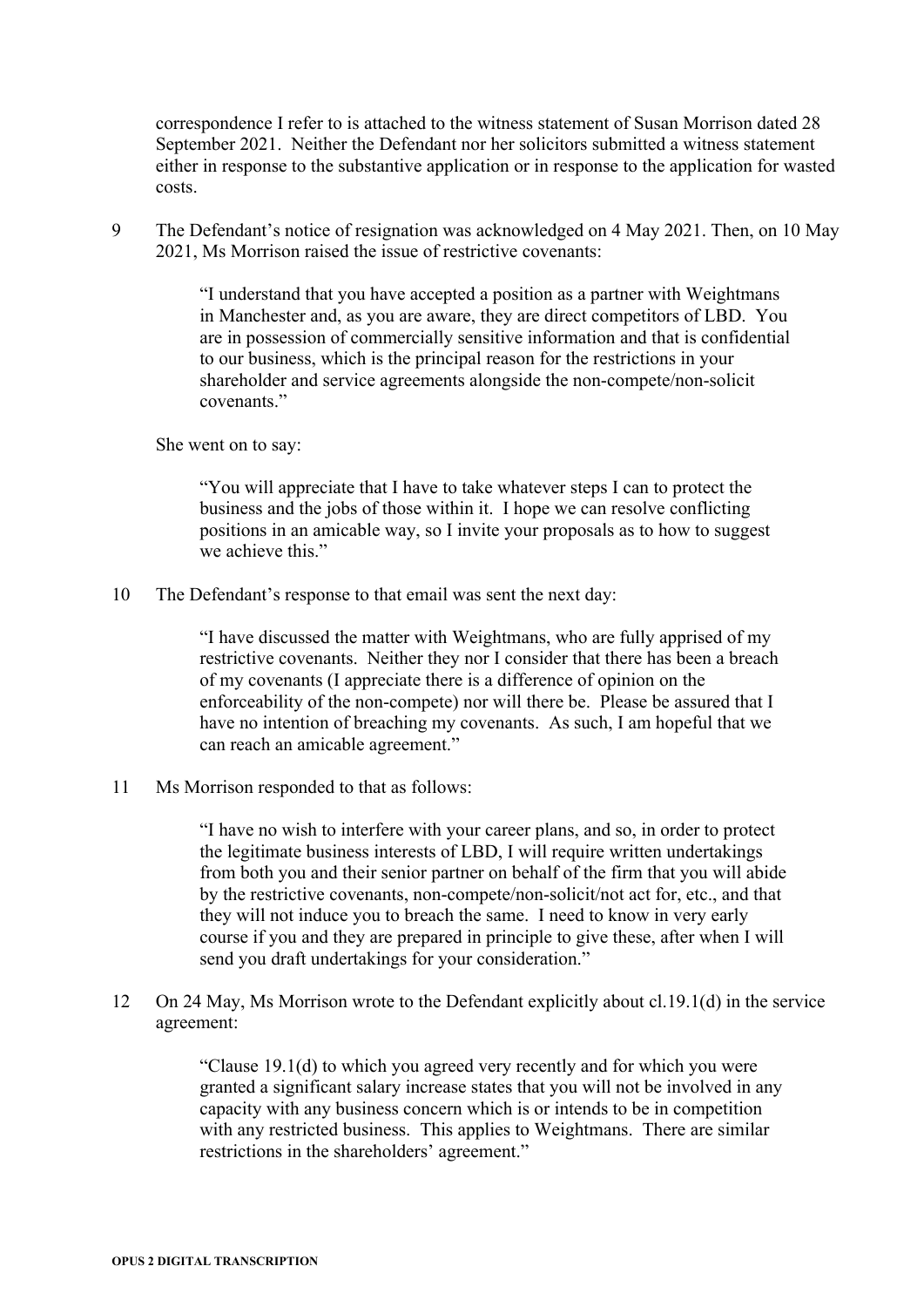correspondence I refer to is attached to the witness statement of Susan Morrison dated 28 September 2021. Neither the Defendant nor her solicitors submitted a witness statement either in response to the substantive application or in response to the application for wasted costs.

9 The Defendant's notice of resignation was acknowledged on 4 May 2021. Then, on 10 May 2021, Ms Morrison raised the issue of restrictive covenants:

> "I understand that you have accepted a position as a partner with Weightmans in Manchester and, as you are aware, they are direct competitors of LBD. You are in possession of commercially sensitive information and that is confidential to our business, which is the principal reason for the restrictions in your shareholder and service agreements alongside the non-compete/non-solicit covenants<sup>"</sup>

#### She went on to say:

"You will appreciate that I have to take whatever steps I can to protect the business and the jobs of those within it. I hope we can resolve conflicting positions in an amicable way, so I invite your proposals as to how to suggest we achieve this."

10 The Defendant's response to that email was sent the next day:

"I have discussed the matter with Weightmans, who are fully apprised of my restrictive covenants. Neither they nor I consider that there has been a breach of my covenants (I appreciate there is a difference of opinion on the enforceability of the non-compete) nor will there be. Please be assured that I have no intention of breaching my covenants. As such, I am hopeful that we can reach an amicable agreement."

11 Ms Morrison responded to that as follows:

"I have no wish to interfere with your career plans, and so, in order to protect the legitimate business interests of LBD, I will require written undertakings from both you and their senior partner on behalf of the firm that you will abide by the restrictive covenants, non-compete/non-solicit/not act for, etc., and that they will not induce you to breach the same. I need to know in very early course if you and they are prepared in principle to give these, after when I will send you draft undertakings for your consideration."

12 On 24 May, Ms Morrison wrote to the Defendant explicitly about cl.19.1(d) in the service agreement:

> "Clause 19.1(d) to which you agreed very recently and for which you were granted a significant salary increase states that you will not be involved in any capacity with any business concern which is or intends to be in competition with any restricted business. This applies to Weightmans. There are similar restrictions in the shareholders' agreement."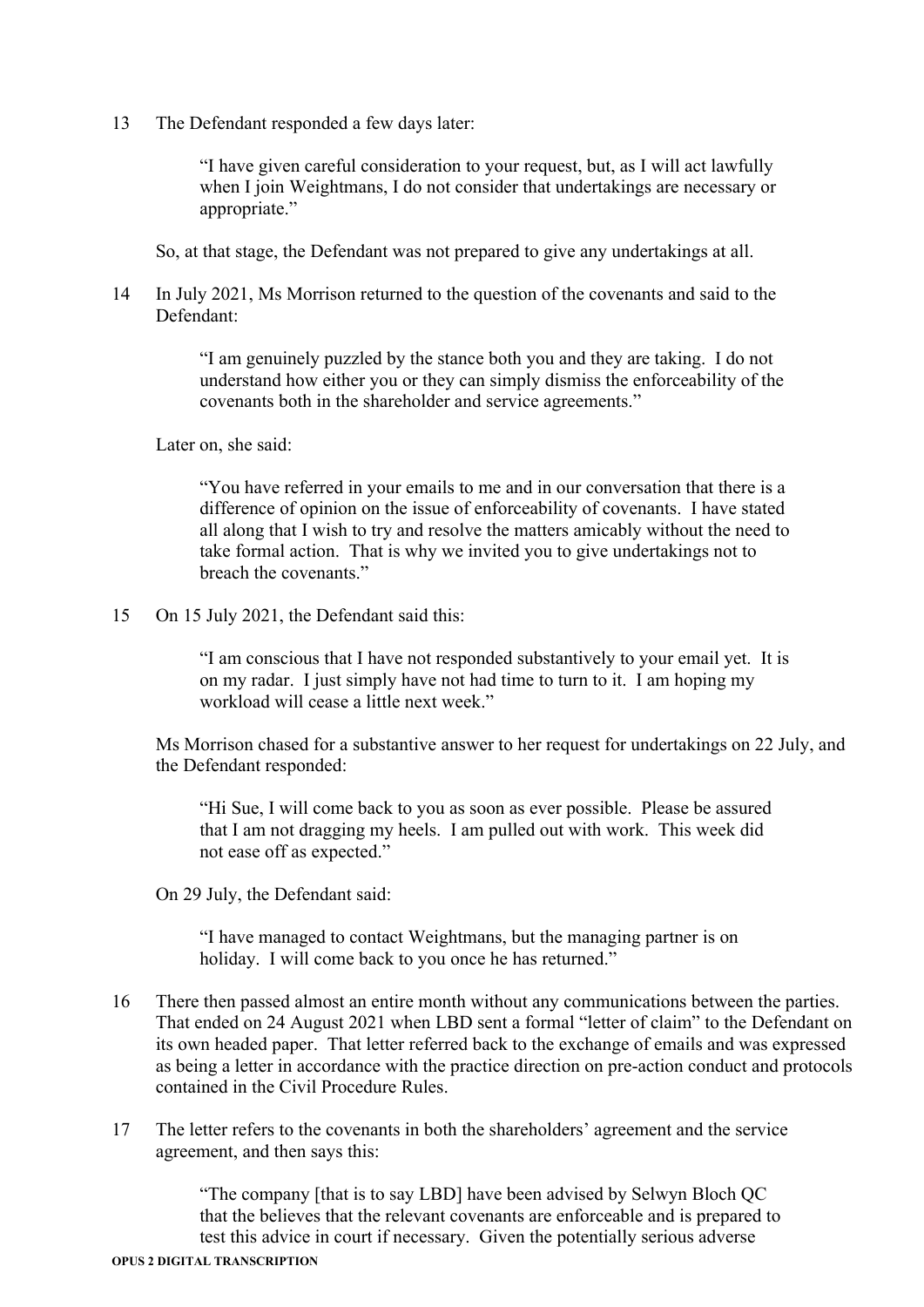13 The Defendant responded a few days later:

"I have given careful consideration to your request, but, as I will act lawfully when I join Weightmans, I do not consider that undertakings are necessary or appropriate."

So, at that stage, the Defendant was not prepared to give any undertakings at all.

14 In July 2021, Ms Morrison returned to the question of the covenants and said to the Defendant:

> "I am genuinely puzzled by the stance both you and they are taking. I do not understand how either you or they can simply dismiss the enforceability of the covenants both in the shareholder and service agreements."

Later on, she said:

"You have referred in your emails to me and in our conversation that there is a difference of opinion on the issue of enforceability of covenants. I have stated all along that I wish to try and resolve the matters amicably without the need to take formal action. That is why we invited you to give undertakings not to breach the covenants."

15 On 15 July 2021, the Defendant said this:

"I am conscious that I have not responded substantively to your email yet. It is on my radar. I just simply have not had time to turn to it. I am hoping my workload will cease a little next week."

Ms Morrison chased for a substantive answer to her request for undertakings on 22 July, and the Defendant responded:

"Hi Sue, I will come back to you as soon as ever possible. Please be assured that I am not dragging my heels. I am pulled out with work. This week did not ease off as expected."

On 29 July, the Defendant said:

"I have managed to contact Weightmans, but the managing partner is on holiday. I will come back to you once he has returned."

- 16 There then passed almost an entire month without any communications between the parties. That ended on 24 August 2021 when LBD sent a formal "letter of claim" to the Defendant on its own headed paper. That letter referred back to the exchange of emails and was expressed as being a letter in accordance with the practice direction on pre-action conduct and protocols contained in the Civil Procedure Rules.
- 17 The letter refers to the covenants in both the shareholders' agreement and the service agreement, and then says this:

"The company [that is to say LBD] have been advised by Selwyn Bloch QC that the believes that the relevant covenants are enforceable and is prepared to test this advice in court if necessary. Given the potentially serious adverse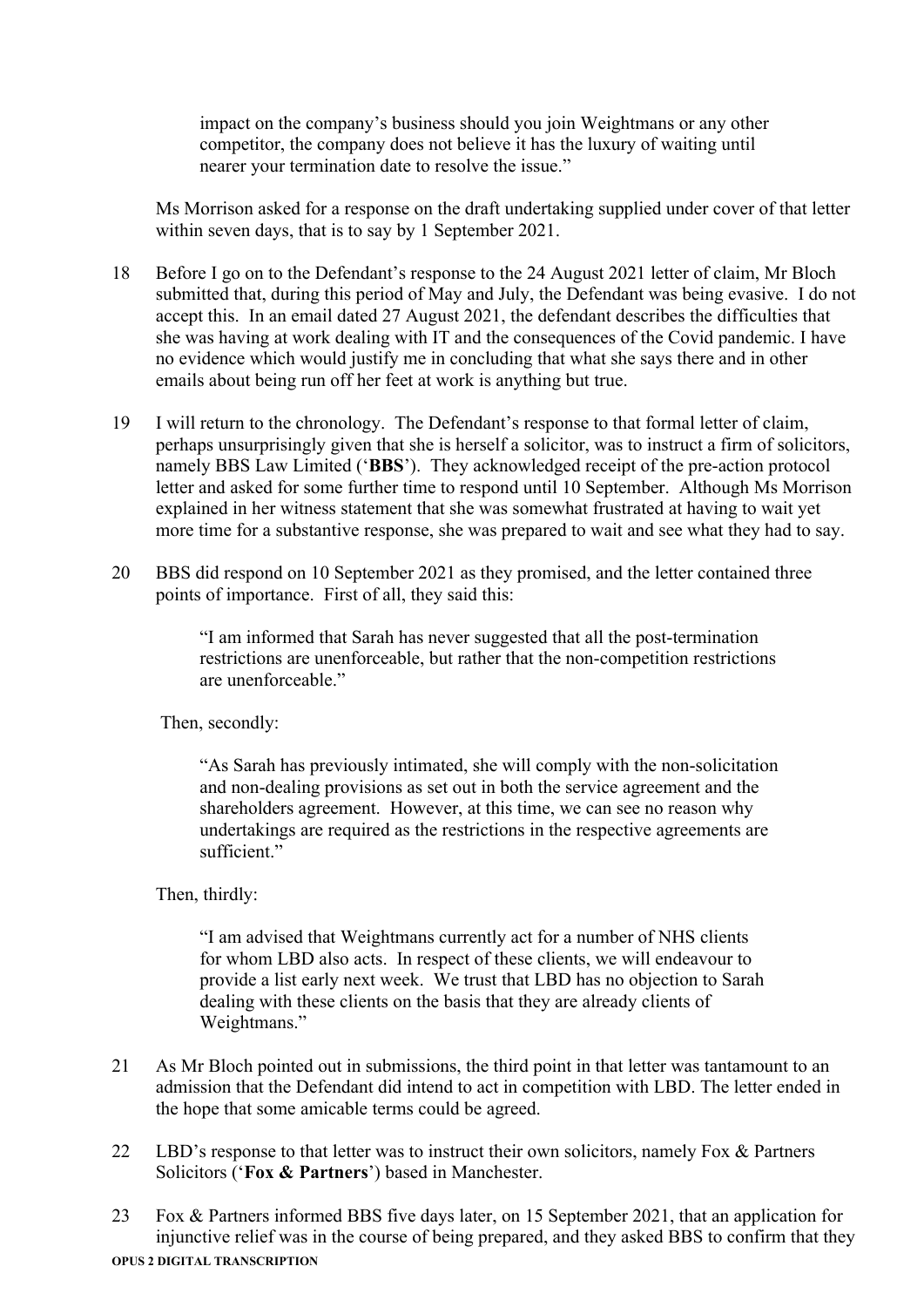impact on the company's business should you join Weightmans or any other competitor, the company does not believe it has the luxury of waiting until nearer your termination date to resolve the issue."

Ms Morrison asked for a response on the draft undertaking supplied under cover of that letter within seven days, that is to say by 1 September 2021.

- 18 Before I go on to the Defendant's response to the 24 August 2021 letter of claim, Mr Bloch submitted that, during this period of May and July, the Defendant was being evasive. I do not accept this. In an email dated 27 August 2021, the defendant describes the difficulties that she was having at work dealing with IT and the consequences of the Covid pandemic. I have no evidence which would justify me in concluding that what she says there and in other emails about being run off her feet at work is anything but true.
- 19 I will return to the chronology. The Defendant's response to that formal letter of claim, perhaps unsurprisingly given that she is herself a solicitor, was to instruct a firm of solicitors, namely BBS Law Limited ('**BBS**'). They acknowledged receipt of the pre-action protocol letter and asked for some further time to respond until 10 September. Although Ms Morrison explained in her witness statement that she was somewhat frustrated at having to wait yet more time for a substantive response, she was prepared to wait and see what they had to say.
- 20 BBS did respond on 10 September 2021 as they promised, and the letter contained three points of importance. First of all, they said this:

"I am informed that Sarah has never suggested that all the post-termination restrictions are unenforceable, but rather that the non-competition restrictions are unenforceable."

Then, secondly:

"As Sarah has previously intimated, she will comply with the non-solicitation and non-dealing provisions as set out in both the service agreement and the shareholders agreement. However, at this time, we can see no reason why undertakings are required as the restrictions in the respective agreements are sufficient."

Then, thirdly:

"I am advised that Weightmans currently act for a number of NHS clients for whom LBD also acts. In respect of these clients, we will endeavour to provide a list early next week. We trust that LBD has no objection to Sarah dealing with these clients on the basis that they are already clients of Weightmans."

- 21 As Mr Bloch pointed out in submissions, the third point in that letter was tantamount to an admission that the Defendant did intend to act in competition with LBD. The letter ended in the hope that some amicable terms could be agreed.
- 22 LBD's response to that letter was to instruct their own solicitors, namely Fox & Partners Solicitors ('**Fox & Partners**') based in Manchester.
- **OPUS 2 DIGITAL TRANSCRIPTION** 23 Fox & Partners informed BBS five days later, on 15 September 2021, that an application for injunctive relief was in the course of being prepared, and they asked BBS to confirm that they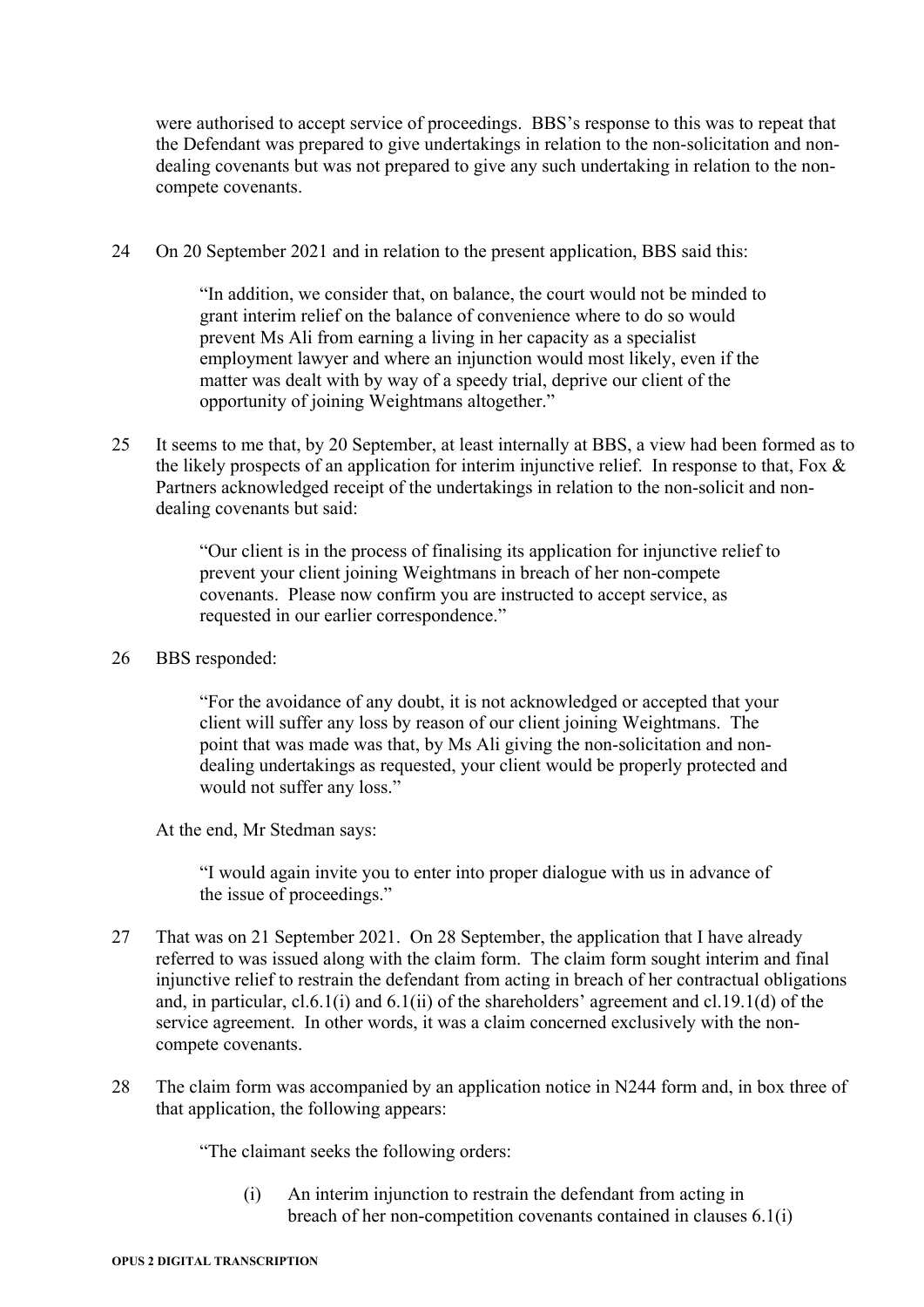were authorised to accept service of proceedings. BBS's response to this was to repeat that the Defendant was prepared to give undertakings in relation to the non-solicitation and nondealing covenants but was not prepared to give any such undertaking in relation to the noncompete covenants.

24 On 20 September 2021 and in relation to the present application, BBS said this:

"In addition, we consider that, on balance, the court would not be minded to grant interim relief on the balance of convenience where to do so would prevent Ms Ali from earning a living in her capacity as a specialist employment lawyer and where an injunction would most likely, even if the matter was dealt with by way of a speedy trial, deprive our client of the opportunity of joining Weightmans altogether."

25 It seems to me that, by 20 September, at least internally at BBS, a view had been formed as to the likely prospects of an application for interim injunctive relief. In response to that, Fox & Partners acknowledged receipt of the undertakings in relation to the non-solicit and nondealing covenants but said:

> "Our client is in the process of finalising its application for injunctive relief to prevent your client joining Weightmans in breach of her non-compete covenants. Please now confirm you are instructed to accept service, as requested in our earlier correspondence."

26 BBS responded:

"For the avoidance of any doubt, it is not acknowledged or accepted that your client will suffer any loss by reason of our client joining Weightmans. The point that was made was that, by Ms Ali giving the non-solicitation and nondealing undertakings as requested, your client would be properly protected and would not suffer any loss."

At the end, Mr Stedman says:

"I would again invite you to enter into proper dialogue with us in advance of the issue of proceedings."

- 27 That was on 21 September 2021. On 28 September, the application that I have already referred to was issued along with the claim form. The claim form sought interim and final injunctive relief to restrain the defendant from acting in breach of her contractual obligations and, in particular, cl.6.1(i) and 6.1(ii) of the shareholders' agreement and cl.19.1(d) of the service agreement. In other words, it was a claim concerned exclusively with the noncompete covenants.
- 28 The claim form was accompanied by an application notice in N244 form and, in box three of that application, the following appears:

"The claimant seeks the following orders:

(i) An interim injunction to restrain the defendant from acting in breach of her non-competition covenants contained in clauses 6.1(i)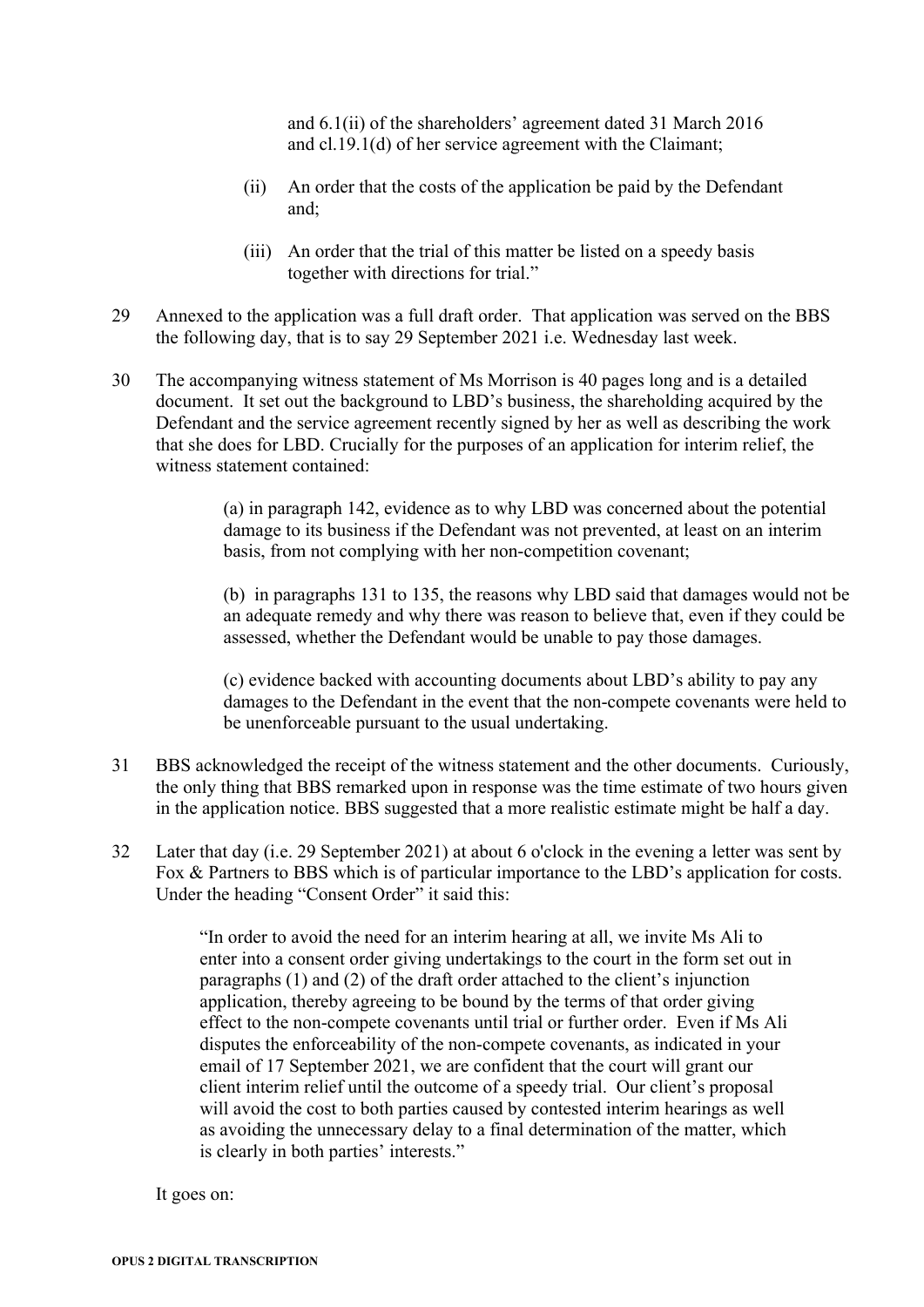and 6.1(ii) of the shareholders' agreement dated 31 March 2016 and cl.19.1(d) of her service agreement with the Claimant;

- (ii) An order that the costs of the application be paid by the Defendant and;
- (iii) An order that the trial of this matter be listed on a speedy basis together with directions for trial."
- 29 Annexed to the application was a full draft order. That application was served on the BBS the following day, that is to say 29 September 2021 i.e. Wednesday last week.
- 30 The accompanying witness statement of Ms Morrison is 40 pages long and is a detailed document. It set out the background to LBD's business, the shareholding acquired by the Defendant and the service agreement recently signed by her as well as describing the work that she does for LBD. Crucially for the purposes of an application for interim relief, the witness statement contained:

(a) in paragraph 142, evidence as to why LBD was concerned about the potential damage to its business if the Defendant was not prevented, at least on an interim basis, from not complying with her non-competition covenant;

(b) in paragraphs 131 to 135, the reasons why LBD said that damages would not be an adequate remedy and why there was reason to believe that, even if they could be assessed, whether the Defendant would be unable to pay those damages.

(c) evidence backed with accounting documents about LBD's ability to pay any damages to the Defendant in the event that the non-compete covenants were held to be unenforceable pursuant to the usual undertaking.

- 31 BBS acknowledged the receipt of the witness statement and the other documents. Curiously, the only thing that BBS remarked upon in response was the time estimate of two hours given in the application notice. BBS suggested that a more realistic estimate might be half a day.
- 32 Later that day (i.e. 29 September 2021) at about 6 o'clock in the evening a letter was sent by Fox & Partners to BBS which is of particular importance to the LBD's application for costs. Under the heading "Consent Order" it said this:

"In order to avoid the need for an interim hearing at all, we invite Ms Ali to enter into a consent order giving undertakings to the court in the form set out in paragraphs (1) and (2) of the draft order attached to the client's injunction application, thereby agreeing to be bound by the terms of that order giving effect to the non-compete covenants until trial or further order. Even if Ms Ali disputes the enforceability of the non-compete covenants, as indicated in your email of 17 September 2021, we are confident that the court will grant our client interim relief until the outcome of a speedy trial. Our client's proposal will avoid the cost to both parties caused by contested interim hearings as well as avoiding the unnecessary delay to a final determination of the matter, which is clearly in both parties' interests."

It goes on: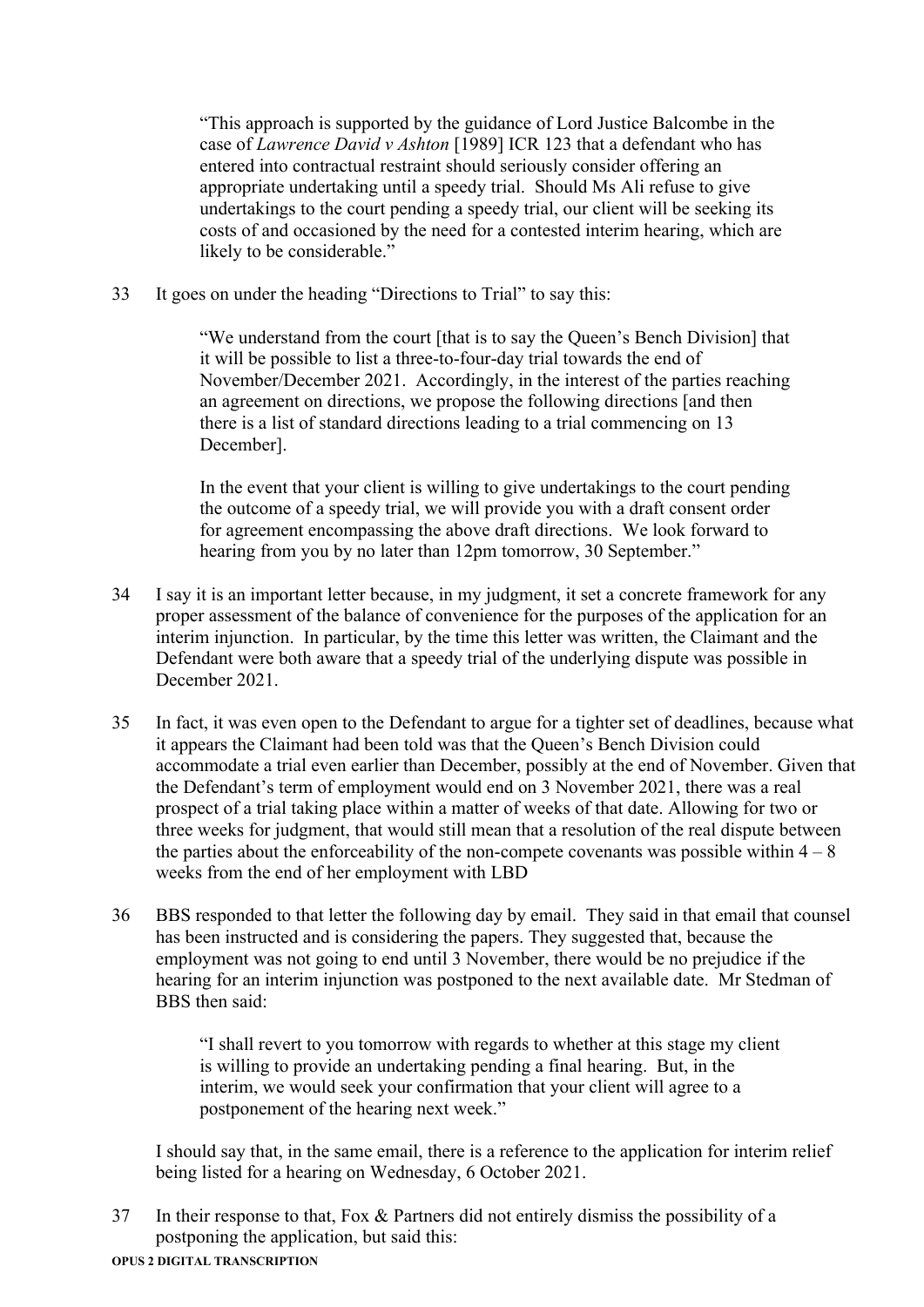"This approach is supported by the guidance of Lord Justice Balcombe in the case of *Lawrence David v Ashton* [1989] ICR 123 that a defendant who has entered into contractual restraint should seriously consider offering an appropriate undertaking until a speedy trial. Should Ms Ali refuse to give undertakings to the court pending a speedy trial, our client will be seeking its costs of and occasioned by the need for a contested interim hearing, which are likely to be considerable."

33 It goes on under the heading "Directions to Trial" to say this:

"We understand from the court [that is to say the Queen's Bench Division] that it will be possible to list a three-to-four-day trial towards the end of November/December 2021. Accordingly, in the interest of the parties reaching an agreement on directions, we propose the following directions [and then there is a list of standard directions leading to a trial commencing on 13 December].

In the event that your client is willing to give undertakings to the court pending the outcome of a speedy trial, we will provide you with a draft consent order for agreement encompassing the above draft directions. We look forward to hearing from you by no later than 12pm tomorrow, 30 September."

- 34 I say it is an important letter because, in my judgment, it set a concrete framework for any proper assessment of the balance of convenience for the purposes of the application for an interim injunction. In particular, by the time this letter was written, the Claimant and the Defendant were both aware that a speedy trial of the underlying dispute was possible in December 2021.
- 35 In fact, it was even open to the Defendant to argue for a tighter set of deadlines, because what it appears the Claimant had been told was that the Queen's Bench Division could accommodate a trial even earlier than December, possibly at the end of November. Given that the Defendant's term of employment would end on 3 November 2021, there was a real prospect of a trial taking place within a matter of weeks of that date. Allowing for two or three weeks for judgment, that would still mean that a resolution of the real dispute between the parties about the enforceability of the non-compete covenants was possible within  $4 - 8$ weeks from the end of her employment with LBD
- 36 BBS responded to that letter the following day by email. They said in that email that counsel has been instructed and is considering the papers. They suggested that, because the employment was not going to end until 3 November, there would be no prejudice if the hearing for an interim injunction was postponed to the next available date. Mr Stedman of BBS then said:

"I shall revert to you tomorrow with regards to whether at this stage my client is willing to provide an undertaking pending a final hearing. But, in the interim, we would seek your confirmation that your client will agree to a postponement of the hearing next week."

I should say that, in the same email, there is a reference to the application for interim relief being listed for a hearing on Wednesday, 6 October 2021.

37 In their response to that, Fox & Partners did not entirely dismiss the possibility of a postponing the application, but said this: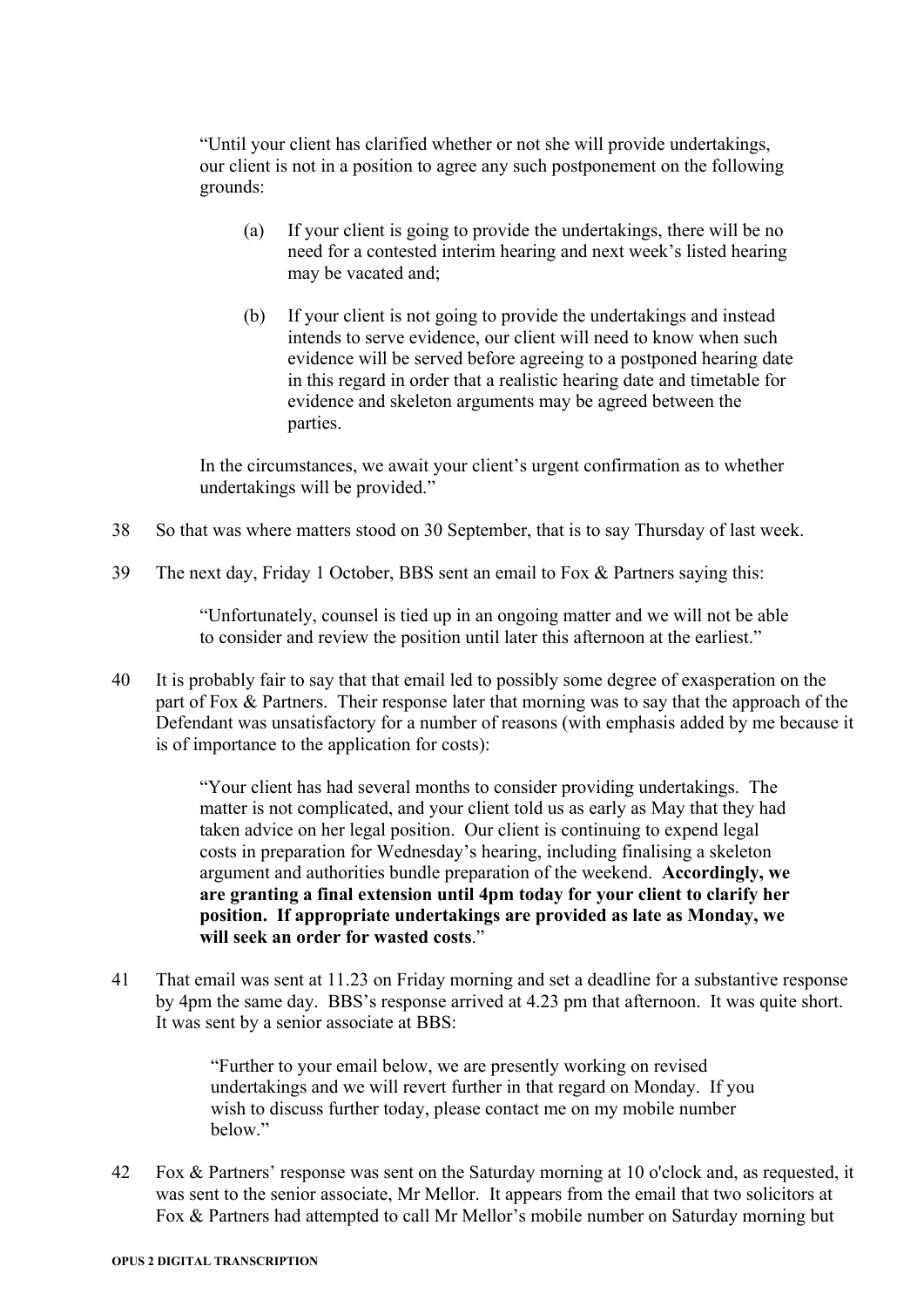"Until your client has clarified whether or not she will provide undertakings, our client is not in a position to agree any such postponement on the following grounds:

- (a) If your client is going to provide the undertakings, there will be no need for a contested interim hearing and next week's listed hearing may be vacated and;
- (b) If your client is not going to provide the undertakings and instead intends to serve evidence, our client will need to know when such evidence will be served before agreeing to a postponed hearing date in this regard in order that a realistic hearing date and timetable for evidence and skeleton arguments may be agreed between the parties.

In the circumstances, we await your client's urgent confirmation as to whether undertakings will be provided."

- 38 So that was where matters stood on 30 September, that is to say Thursday of last week.
- 39 The next day, Friday 1 October, BBS sent an email to Fox & Partners saying this:

"Unfortunately, counsel is tied up in an ongoing matter and we will not be able to consider and review the position until later this afternoon at the earliest."

40 It is probably fair to say that that email led to possibly some degree of exasperation on the part of Fox & Partners. Their response later that morning was to say that the approach of the Defendant was unsatisfactory for a number of reasons (with emphasis added by me because it is of importance to the application for costs):

> "Your client has had several months to consider providing undertakings. The matter is not complicated, and your client told us as early as May that they had taken advice on her legal position. Our client is continuing to expend legal costs in preparation for Wednesday's hearing, including finalising a skeleton argument and authorities bundle preparation of the weekend. **Accordingly, we are granting a final extension until 4pm today for your client to clarify her position. If appropriate undertakings are provided as late as Monday, we will seek an order for wasted costs**."

41 That email was sent at 11.23 on Friday morning and set a deadline for a substantive response by 4pm the same day. BBS's response arrived at 4.23 pm that afternoon. It was quite short. It was sent by a senior associate at BBS:

> "Further to your email below, we are presently working on revised undertakings and we will revert further in that regard on Monday. If you wish to discuss further today, please contact me on my mobile number below."

42 Fox & Partners' response was sent on the Saturday morning at 10 o'clock and, as requested, it was sent to the senior associate, Mr Mellor. It appears from the email that two solicitors at Fox & Partners had attempted to call Mr Mellor's mobile number on Saturday morning but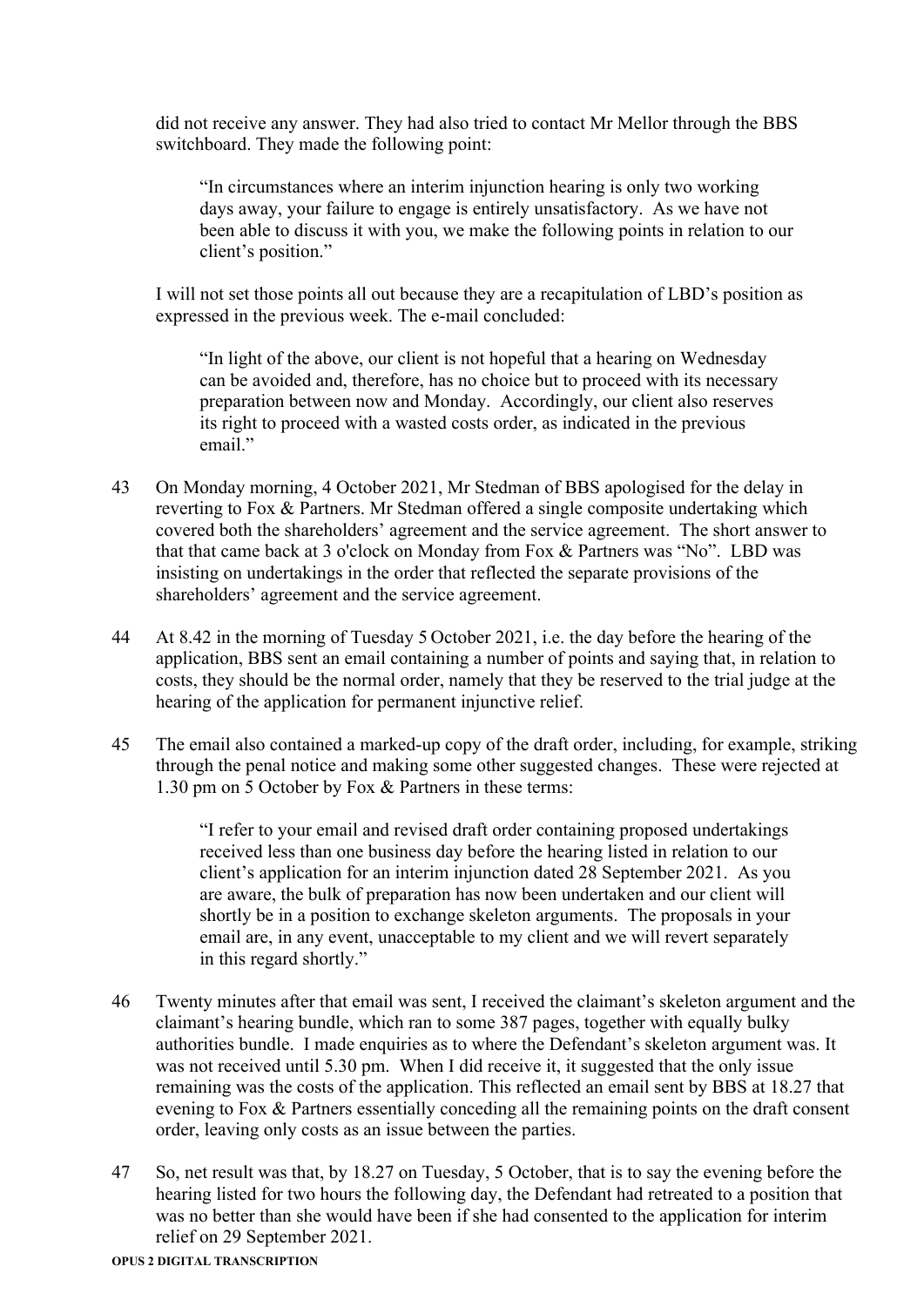did not receive any answer. They had also tried to contact Mr Mellor through the BBS switchboard. They made the following point:

"In circumstances where an interim injunction hearing is only two working days away, your failure to engage is entirely unsatisfactory. As we have not been able to discuss it with you, we make the following points in relation to our client's position."

I will not set those points all out because they are a recapitulation of LBD's position as expressed in the previous week. The e-mail concluded:

"In light of the above, our client is not hopeful that a hearing on Wednesday can be avoided and, therefore, has no choice but to proceed with its necessary preparation between now and Monday. Accordingly, our client also reserves its right to proceed with a wasted costs order, as indicated in the previous email."

- 43 On Monday morning, 4 October 2021, Mr Stedman of BBS apologised for the delay in reverting to Fox & Partners. Mr Stedman offered a single composite undertaking which covered both the shareholders' agreement and the service agreement. The short answer to that that came back at 3 o'clock on Monday from Fox & Partners was "No". LBD was insisting on undertakings in the order that reflected the separate provisions of the shareholders' agreement and the service agreement.
- 44 At 8.42 in the morning of Tuesday 5 October 2021, i.e. the day before the hearing of the application, BBS sent an email containing a number of points and saying that, in relation to costs, they should be the normal order, namely that they be reserved to the trial judge at the hearing of the application for permanent injunctive relief.
- 45 The email also contained a marked-up copy of the draft order, including, for example, striking through the penal notice and making some other suggested changes. These were rejected at 1.30 pm on 5 October by Fox & Partners in these terms:

"I refer to your email and revised draft order containing proposed undertakings received less than one business day before the hearing listed in relation to our client's application for an interim injunction dated 28 September 2021. As you are aware, the bulk of preparation has now been undertaken and our client will shortly be in a position to exchange skeleton arguments. The proposals in your email are, in any event, unacceptable to my client and we will revert separately in this regard shortly."

- 46 Twenty minutes after that email was sent, I received the claimant's skeleton argument and the claimant's hearing bundle, which ran to some 387 pages, together with equally bulky authorities bundle. I made enquiries as to where the Defendant's skeleton argument was. It was not received until 5.30 pm. When I did receive it, it suggested that the only issue remaining was the costs of the application. This reflected an email sent by BBS at 18.27 that evening to Fox & Partners essentially conceding all the remaining points on the draft consent order, leaving only costs as an issue between the parties.
- 47 So, net result was that, by 18.27 on Tuesday, 5 October, that is to say the evening before the hearing listed for two hours the following day, the Defendant had retreated to a position that was no better than she would have been if she had consented to the application for interim relief on 29 September 2021.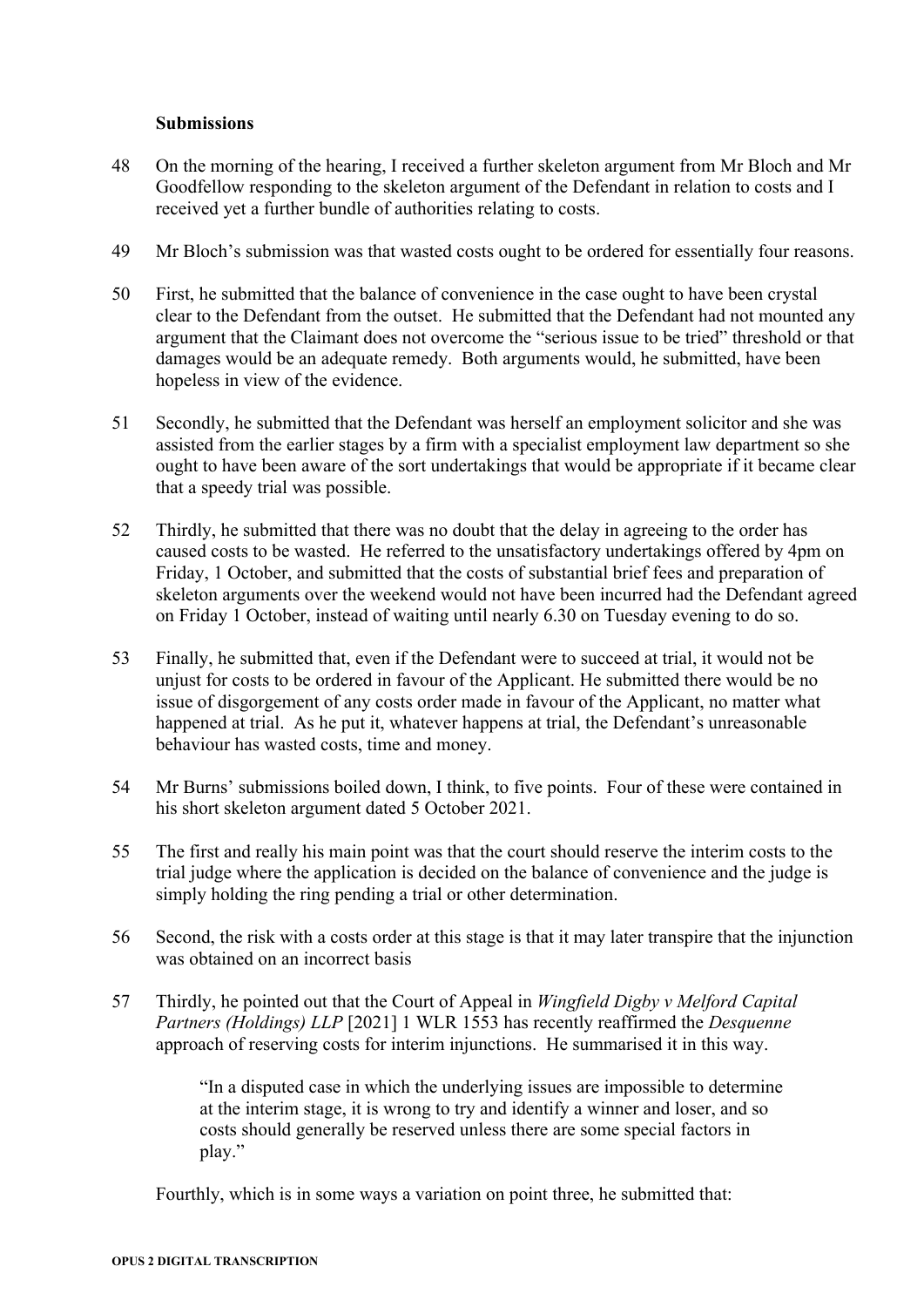#### **Submissions**

- 48 On the morning of the hearing, I received a further skeleton argument from Mr Bloch and Mr Goodfellow responding to the skeleton argument of the Defendant in relation to costs and I received yet a further bundle of authorities relating to costs.
- 49 Mr Bloch's submission was that wasted costs ought to be ordered for essentially four reasons.
- 50 First, he submitted that the balance of convenience in the case ought to have been crystal clear to the Defendant from the outset. He submitted that the Defendant had not mounted any argument that the Claimant does not overcome the "serious issue to be tried" threshold or that damages would be an adequate remedy. Both arguments would, he submitted, have been hopeless in view of the evidence.
- 51 Secondly, he submitted that the Defendant was herself an employment solicitor and she was assisted from the earlier stages by a firm with a specialist employment law department so she ought to have been aware of the sort undertakings that would be appropriate if it became clear that a speedy trial was possible.
- 52 Thirdly, he submitted that there was no doubt that the delay in agreeing to the order has caused costs to be wasted. He referred to the unsatisfactory undertakings offered by 4pm on Friday, 1 October, and submitted that the costs of substantial brief fees and preparation of skeleton arguments over the weekend would not have been incurred had the Defendant agreed on Friday 1 October, instead of waiting until nearly 6.30 on Tuesday evening to do so.
- 53 Finally, he submitted that, even if the Defendant were to succeed at trial, it would not be unjust for costs to be ordered in favour of the Applicant. He submitted there would be no issue of disgorgement of any costs order made in favour of the Applicant, no matter what happened at trial. As he put it, whatever happens at trial, the Defendant's unreasonable behaviour has wasted costs, time and money.
- 54 Mr Burns' submissions boiled down, I think, to five points. Four of these were contained in his short skeleton argument dated 5 October 2021.
- 55 The first and really his main point was that the court should reserve the interim costs to the trial judge where the application is decided on the balance of convenience and the judge is simply holding the ring pending a trial or other determination.
- 56 Second, the risk with a costs order at this stage is that it may later transpire that the injunction was obtained on an incorrect basis
- 57 Thirdly, he pointed out that the Court of Appeal in *Wingfield Digby v Melford Capital Partners (Holdings) LLP* [2021] 1 WLR 1553 has recently reaffirmed the *Desquenne* approach of reserving costs for interim injunctions. He summarised it in this way.

"In a disputed case in which the underlying issues are impossible to determine at the interim stage, it is wrong to try and identify a winner and loser, and so costs should generally be reserved unless there are some special factors in play."

Fourthly, which is in some ways a variation on point three, he submitted that: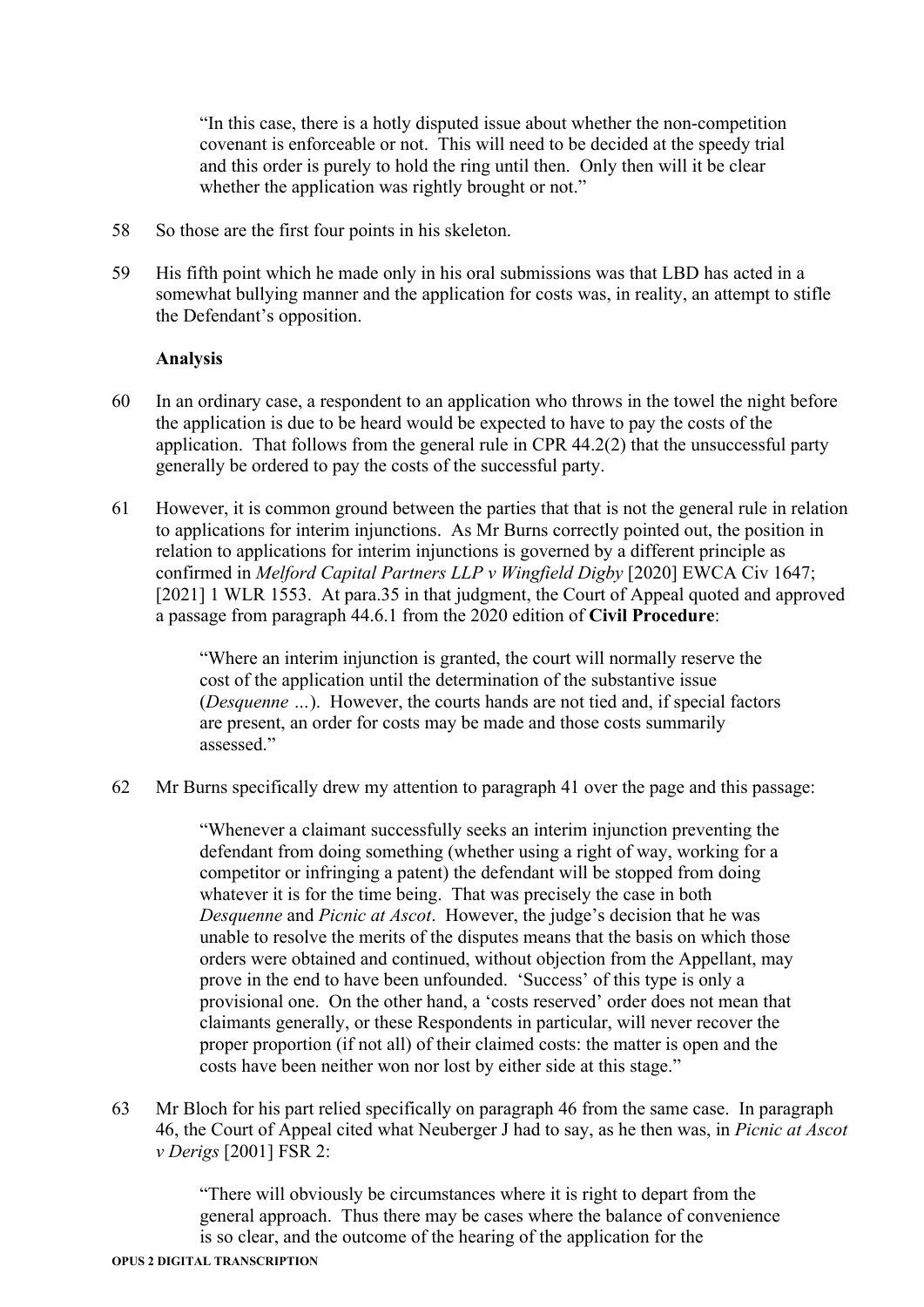"In this case, there is a hotly disputed issue about whether the non-competition covenant is enforceable or not. This will need to be decided at the speedy trial and this order is purely to hold the ring until then. Only then will it be clear whether the application was rightly brought or not."

- 58 So those are the first four points in his skeleton.
- 59 His fifth point which he made only in his oral submissions was that LBD has acted in a somewhat bullying manner and the application for costs was, in reality, an attempt to stifle the Defendant's opposition.

### **Analysis**

- 60 In an ordinary case, a respondent to an application who throws in the towel the night before the application is due to be heard would be expected to have to pay the costs of the application. That follows from the general rule in CPR 44.2(2) that the unsuccessful party generally be ordered to pay the costs of the successful party.
- 61 However, it is common ground between the parties that that is not the general rule in relation to applications for interim injunctions. As Mr Burns correctly pointed out, the position in relation to applications for interim injunctions is governed by a different principle as confirmed in *Melford Capital Partners LLP v Wingfield Digby* [2020] EWCA Civ 1647; [2021] 1 WLR 1553. At para.35 in that judgment, the Court of Appeal quoted and approved a passage from paragraph 44.6.1 from the 2020 edition of **Civil Procedure**:

"Where an interim injunction is granted, the court will normally reserve the cost of the application until the determination of the substantive issue (*Desquenne …*). However, the courts hands are not tied and, if special factors are present, an order for costs may be made and those costs summarily assessed."

62 Mr Burns specifically drew my attention to paragraph 41 over the page and this passage:

"Whenever a claimant successfully seeks an interim injunction preventing the defendant from doing something (whether using a right of way, working for a competitor or infringing a patent) the defendant will be stopped from doing whatever it is for the time being. That was precisely the case in both *Desquenne* and *Picnic at Ascot*. However, the judge's decision that he was unable to resolve the merits of the disputes means that the basis on which those orders were obtained and continued, without objection from the Appellant, may prove in the end to have been unfounded. 'Success' of this type is only a provisional one. On the other hand, a 'costs reserved' order does not mean that claimants generally, or these Respondents in particular, will never recover the proper proportion (if not all) of their claimed costs: the matter is open and the costs have been neither won nor lost by either side at this stage."

63 Mr Bloch for his part relied specifically on paragraph 46 from the same case. In paragraph 46, the Court of Appeal cited what Neuberger J had to say, as he then was, in *Picnic at Ascot v Derigs* [2001] FSR 2:

> "There will obviously be circumstances where it is right to depart from the general approach. Thus there may be cases where the balance of convenience is so clear, and the outcome of the hearing of the application for the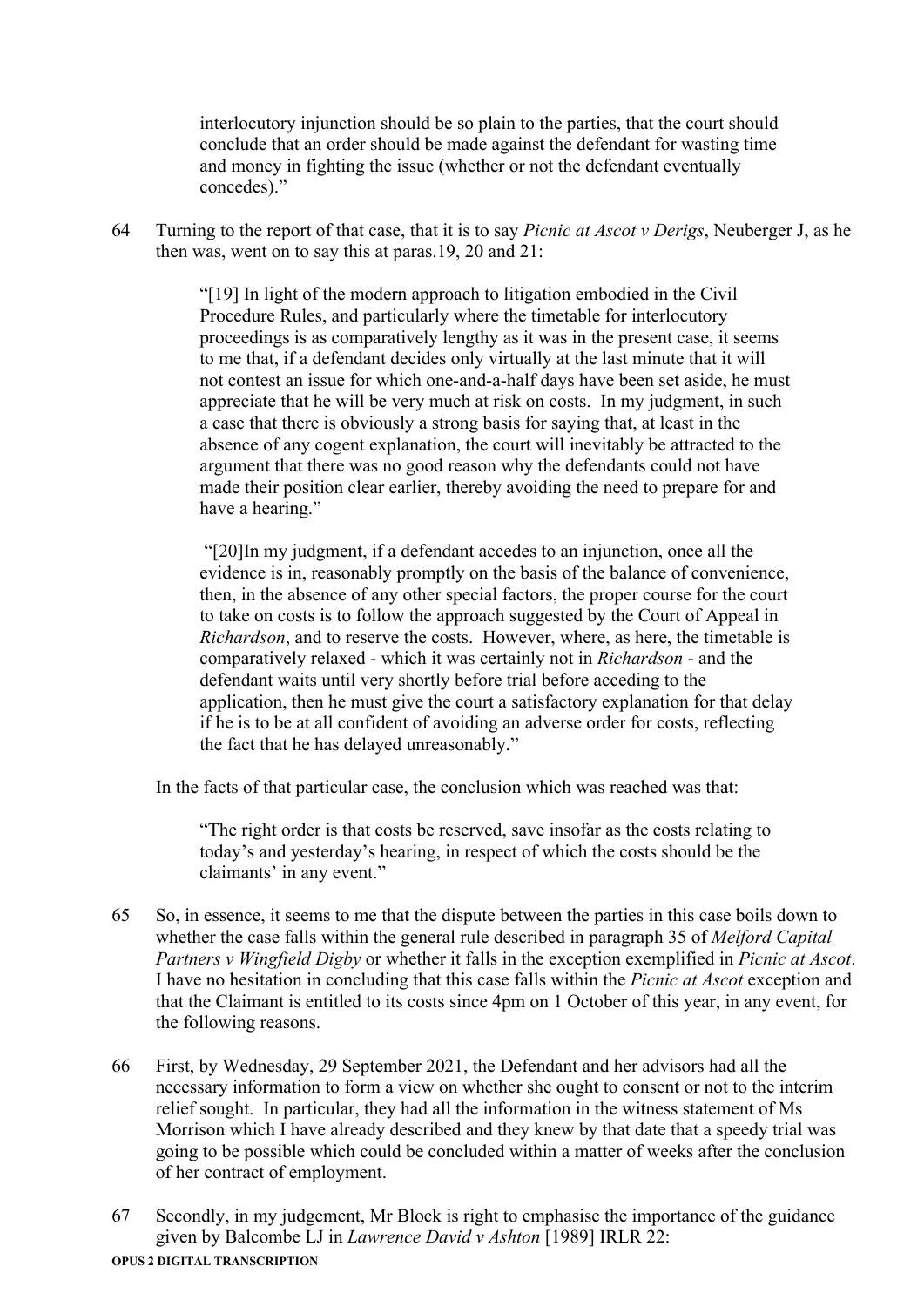interlocutory injunction should be so plain to the parties, that the court should conclude that an order should be made against the defendant for wasting time and money in fighting the issue (whether or not the defendant eventually concedes)."

64 Turning to the report of that case, that it is to say *Picnic at Ascot v Derigs*, Neuberger J, as he then was, went on to say this at paras.19, 20 and 21:

> "[19] In light of the modern approach to litigation embodied in the Civil Procedure Rules, and particularly where the timetable for interlocutory proceedings is as comparatively lengthy as it was in the present case, it seems to me that, if a defendant decides only virtually at the last minute that it will not contest an issue for which one-and-a-half days have been set aside, he must appreciate that he will be very much at risk on costs. In my judgment, in such a case that there is obviously a strong basis for saying that, at least in the absence of any cogent explanation, the court will inevitably be attracted to the argument that there was no good reason why the defendants could not have made their position clear earlier, thereby avoiding the need to prepare for and have a hearing."

> "[20]In my judgment, if a defendant accedes to an injunction, once all the evidence is in, reasonably promptly on the basis of the balance of convenience, then, in the absence of any other special factors, the proper course for the court to take on costs is to follow the approach suggested by the Court of Appeal in *Richardson*, and to reserve the costs. However, where, as here, the timetable is comparatively relaxed - which it was certainly not in *Richardson* - and the defendant waits until very shortly before trial before acceding to the application, then he must give the court a satisfactory explanation for that delay if he is to be at all confident of avoiding an adverse order for costs, reflecting the fact that he has delayed unreasonably."

In the facts of that particular case, the conclusion which was reached was that:

"The right order is that costs be reserved, save insofar as the costs relating to today's and yesterday's hearing, in respect of which the costs should be the claimants' in any event."

- 65 So, in essence, it seems to me that the dispute between the parties in this case boils down to whether the case falls within the general rule described in paragraph 35 of *Melford Capital Partners v Wingfield Digby* or whether it falls in the exception exemplified in *Picnic at Ascot*. I have no hesitation in concluding that this case falls within the *Picnic at Ascot* exception and that the Claimant is entitled to its costs since 4pm on 1 October of this year, in any event, for the following reasons.
- 66 First, by Wednesday, 29 September 2021, the Defendant and her advisors had all the necessary information to form a view on whether she ought to consent or not to the interim relief sought. In particular, they had all the information in the witness statement of Ms Morrison which I have already described and they knew by that date that a speedy trial was going to be possible which could be concluded within a matter of weeks after the conclusion of her contract of employment.
- 67 Secondly, in my judgement, Mr Block is right to emphasise the importance of the guidance given by Balcombe LJ in *Lawrence David v Ashton* [1989] IRLR 22: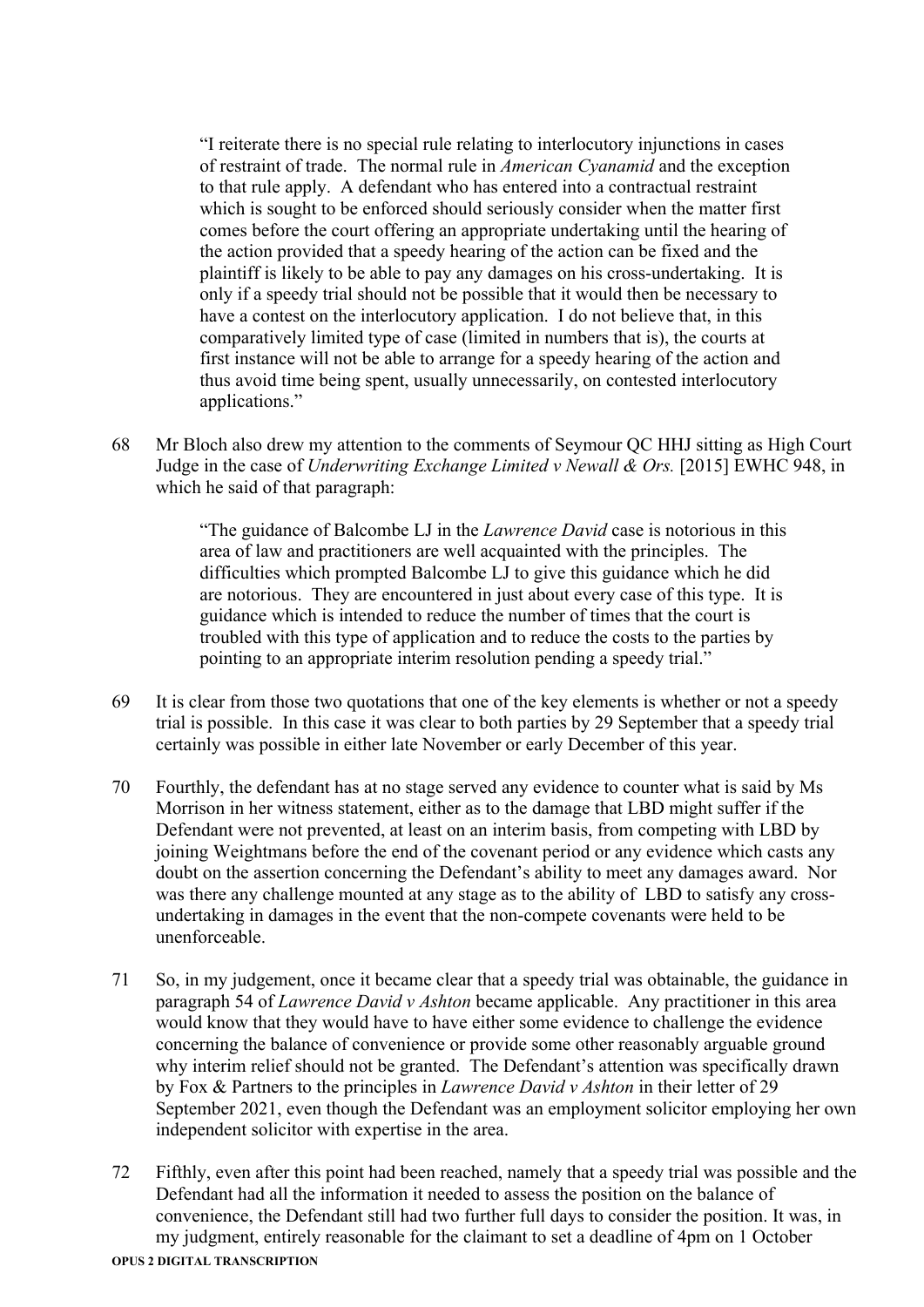"I reiterate there is no special rule relating to interlocutory injunctions in cases of restraint of trade. The normal rule in *American Cyanamid* and the exception to that rule apply. A defendant who has entered into a contractual restraint which is sought to be enforced should seriously consider when the matter first comes before the court offering an appropriate undertaking until the hearing of the action provided that a speedy hearing of the action can be fixed and the plaintiff is likely to be able to pay any damages on his cross-undertaking. It is only if a speedy trial should not be possible that it would then be necessary to have a contest on the interlocutory application. I do not believe that, in this comparatively limited type of case (limited in numbers that is), the courts at first instance will not be able to arrange for a speedy hearing of the action and thus avoid time being spent, usually unnecessarily, on contested interlocutory applications."

68 Mr Bloch also drew my attention to the comments of Seymour QC HHJ sitting as High Court Judge in the case of *Underwriting Exchange Limited v Newall & Ors.* [2015] EWHC 948, in which he said of that paragraph:

> "The guidance of Balcombe LJ in the *Lawrence David* case is notorious in this area of law and practitioners are well acquainted with the principles. The difficulties which prompted Balcombe LJ to give this guidance which he did are notorious. They are encountered in just about every case of this type. It is guidance which is intended to reduce the number of times that the court is troubled with this type of application and to reduce the costs to the parties by pointing to an appropriate interim resolution pending a speedy trial."

- 69 It is clear from those two quotations that one of the key elements is whether or not a speedy trial is possible. In this case it was clear to both parties by 29 September that a speedy trial certainly was possible in either late November or early December of this year.
- 70 Fourthly, the defendant has at no stage served any evidence to counter what is said by Ms Morrison in her witness statement, either as to the damage that LBD might suffer if the Defendant were not prevented, at least on an interim basis, from competing with LBD by joining Weightmans before the end of the covenant period or any evidence which casts any doubt on the assertion concerning the Defendant's ability to meet any damages award. Nor was there any challenge mounted at any stage as to the ability of LBD to satisfy any crossundertaking in damages in the event that the non-compete covenants were held to be unenforceable.
- 71 So, in my judgement, once it became clear that a speedy trial was obtainable, the guidance in paragraph 54 of *Lawrence David v Ashton* became applicable. Any practitioner in this area would know that they would have to have either some evidence to challenge the evidence concerning the balance of convenience or provide some other reasonably arguable ground why interim relief should not be granted. The Defendant's attention was specifically drawn by Fox & Partners to the principles in *Lawrence David v Ashton* in their letter of 29 September 2021, even though the Defendant was an employment solicitor employing her own independent solicitor with expertise in the area.
- 72 Fifthly, even after this point had been reached, namely that a speedy trial was possible and the Defendant had all the information it needed to assess the position on the balance of convenience, the Defendant still had two further full days to consider the position. It was, in my judgment, entirely reasonable for the claimant to set a deadline of 4pm on 1 October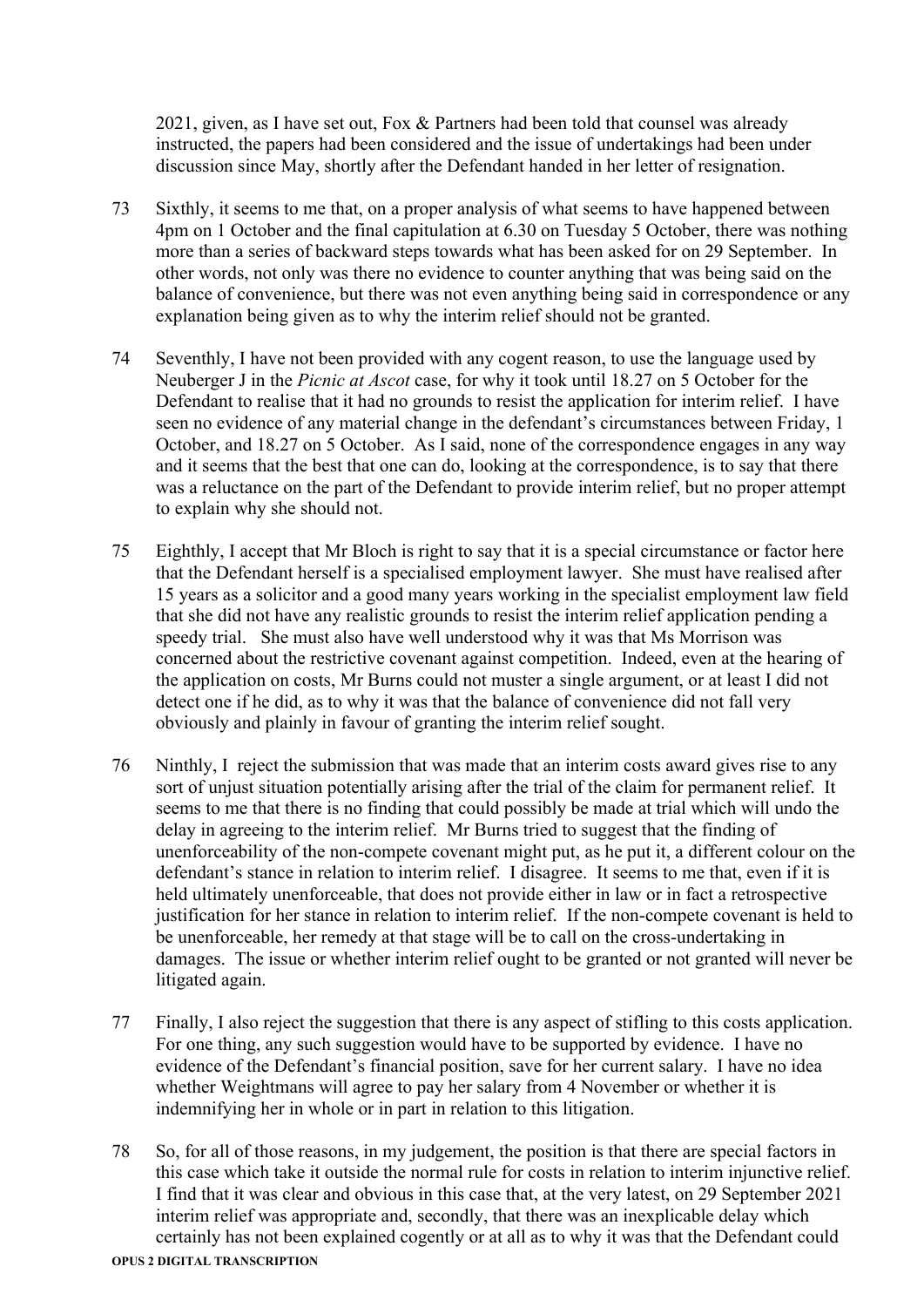2021, given, as I have set out, Fox & Partners had been told that counsel was already instructed, the papers had been considered and the issue of undertakings had been under discussion since May, shortly after the Defendant handed in her letter of resignation.

- 73 Sixthly, it seems to me that, on a proper analysis of what seems to have happened between 4pm on 1 October and the final capitulation at 6.30 on Tuesday 5 October, there was nothing more than a series of backward steps towards what has been asked for on 29 September. In other words, not only was there no evidence to counter anything that was being said on the balance of convenience, but there was not even anything being said in correspondence or any explanation being given as to why the interim relief should not be granted.
- 74 Seventhly, I have not been provided with any cogent reason, to use the language used by Neuberger J in the *Picnic at Ascot* case, for why it took until 18.27 on 5 October for the Defendant to realise that it had no grounds to resist the application for interim relief. I have seen no evidence of any material change in the defendant's circumstances between Friday, 1 October, and 18.27 on 5 October. As I said, none of the correspondence engages in any way and it seems that the best that one can do, looking at the correspondence, is to say that there was a reluctance on the part of the Defendant to provide interim relief, but no proper attempt to explain why she should not.
- 75 Eighthly, I accept that Mr Bloch is right to say that it is a special circumstance or factor here that the Defendant herself is a specialised employment lawyer. She must have realised after 15 years as a solicitor and a good many years working in the specialist employment law field that she did not have any realistic grounds to resist the interim relief application pending a speedy trial. She must also have well understood why it was that Ms Morrison was concerned about the restrictive covenant against competition. Indeed, even at the hearing of the application on costs, Mr Burns could not muster a single argument, or at least I did not detect one if he did, as to why it was that the balance of convenience did not fall very obviously and plainly in favour of granting the interim relief sought.
- 76 Ninthly, I reject the submission that was made that an interim costs award gives rise to any sort of unjust situation potentially arising after the trial of the claim for permanent relief. It seems to me that there is no finding that could possibly be made at trial which will undo the delay in agreeing to the interim relief. Mr Burns tried to suggest that the finding of unenforceability of the non-compete covenant might put, as he put it, a different colour on the defendant's stance in relation to interim relief. I disagree. It seems to me that, even if it is held ultimately unenforceable, that does not provide either in law or in fact a retrospective justification for her stance in relation to interim relief. If the non-compete covenant is held to be unenforceable, her remedy at that stage will be to call on the cross-undertaking in damages. The issue or whether interim relief ought to be granted or not granted will never be litigated again.
- 77 Finally, I also reject the suggestion that there is any aspect of stifling to this costs application. For one thing, any such suggestion would have to be supported by evidence. I have no evidence of the Defendant's financial position, save for her current salary. I have no idea whether Weightmans will agree to pay her salary from 4 November or whether it is indemnifying her in whole or in part in relation to this litigation.
- 78 So, for all of those reasons, in my judgement, the position is that there are special factors in this case which take it outside the normal rule for costs in relation to interim injunctive relief. I find that it was clear and obvious in this case that, at the very latest, on 29 September 2021 interim relief was appropriate and, secondly, that there was an inexplicable delay which certainly has not been explained cogently or at all as to why it was that the Defendant could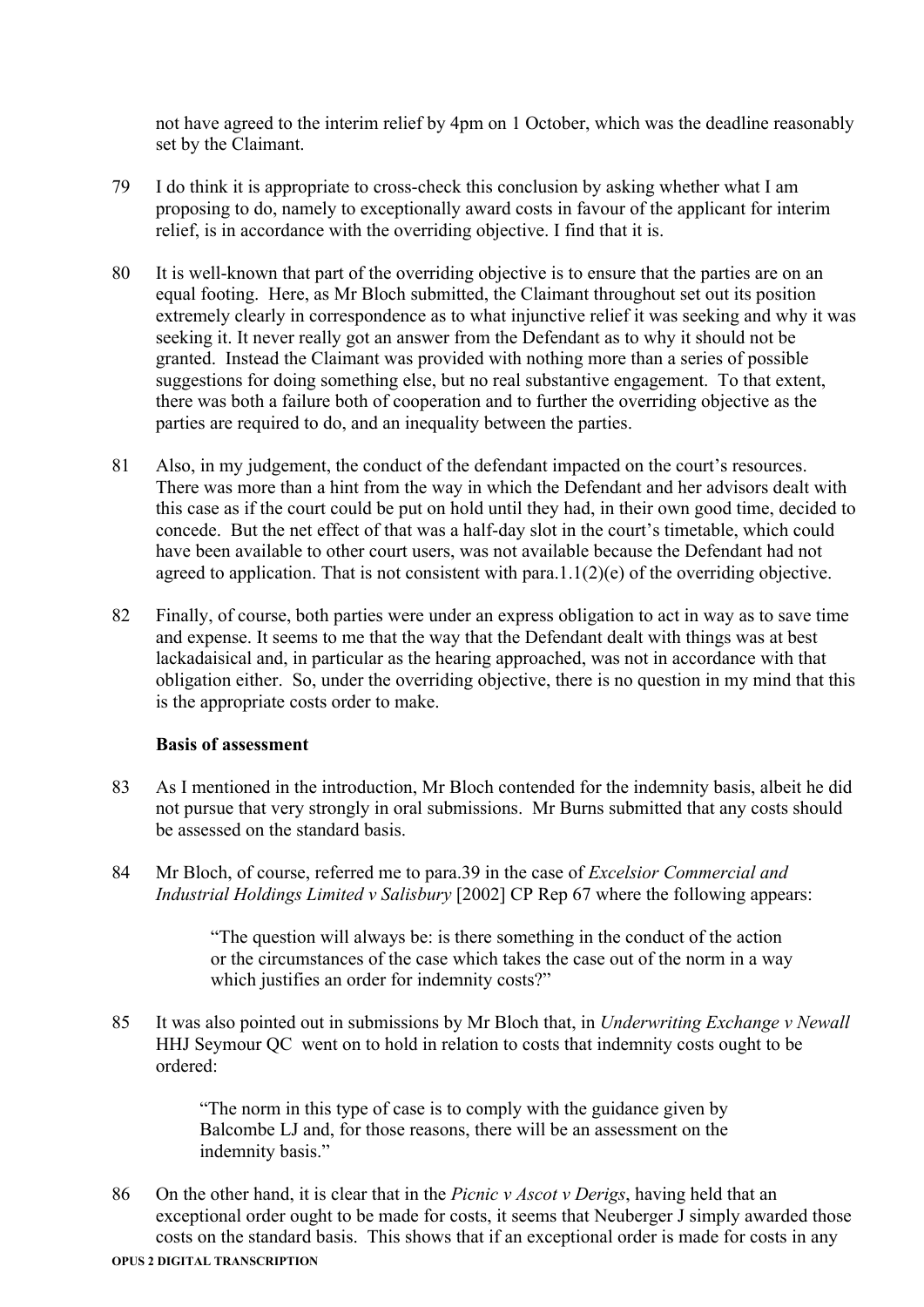not have agreed to the interim relief by 4pm on 1 October, which was the deadline reasonably set by the Claimant.

- 79 I do think it is appropriate to cross-check this conclusion by asking whether what I am proposing to do, namely to exceptionally award costs in favour of the applicant for interim relief, is in accordance with the overriding objective. I find that it is.
- 80 It is well-known that part of the overriding objective is to ensure that the parties are on an equal footing. Here, as Mr Bloch submitted, the Claimant throughout set out its position extremely clearly in correspondence as to what injunctive relief it was seeking and why it was seeking it. It never really got an answer from the Defendant as to why it should not be granted. Instead the Claimant was provided with nothing more than a series of possible suggestions for doing something else, but no real substantive engagement. To that extent, there was both a failure both of cooperation and to further the overriding objective as the parties are required to do, and an inequality between the parties.
- 81 Also, in my judgement, the conduct of the defendant impacted on the court's resources. There was more than a hint from the way in which the Defendant and her advisors dealt with this case as if the court could be put on hold until they had, in their own good time, decided to concede. But the net effect of that was a half-day slot in the court's timetable, which could have been available to other court users, was not available because the Defendant had not agreed to application. That is not consistent with para.  $1.1(2)(e)$  of the overriding objective.
- 82 Finally, of course, both parties were under an express obligation to act in way as to save time and expense. It seems to me that the way that the Defendant dealt with things was at best lackadaisical and, in particular as the hearing approached, was not in accordance with that obligation either. So, under the overriding objective, there is no question in my mind that this is the appropriate costs order to make.

### **Basis of assessment**

- 83 As I mentioned in the introduction, Mr Bloch contended for the indemnity basis, albeit he did not pursue that very strongly in oral submissions. Mr Burns submitted that any costs should be assessed on the standard basis.
- 84 Mr Bloch, of course, referred me to para.39 in the case of *Excelsior Commercial and Industrial Holdings Limited v Salisbury* [2002] CP Rep 67 where the following appears:

"The question will always be: is there something in the conduct of the action or the circumstances of the case which takes the case out of the norm in a way which justifies an order for indemnity costs?"

85 It was also pointed out in submissions by Mr Bloch that, in *Underwriting Exchange v Newall*  HHJ Seymour QC went on to hold in relation to costs that indemnity costs ought to be ordered:

> "The norm in this type of case is to comply with the guidance given by Balcombe LJ and, for those reasons, there will be an assessment on the indemnity basis."

86 On the other hand, it is clear that in the *Picnic v Ascot v Derigs*, having held that an exceptional order ought to be made for costs, it seems that Neuberger J simply awarded those costs on the standard basis. This shows that if an exceptional order is made for costs in any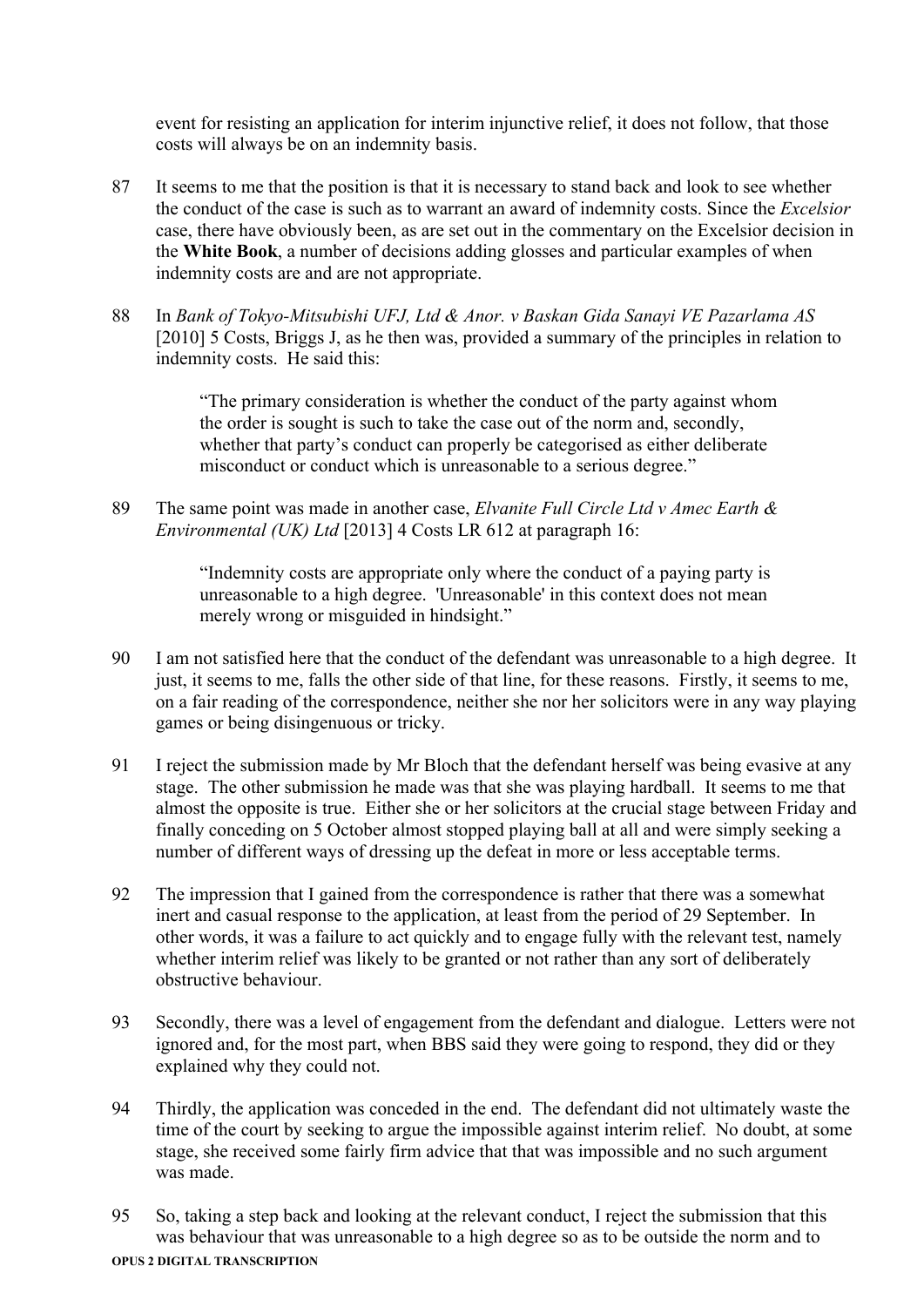event for resisting an application for interim injunctive relief, it does not follow, that those costs will always be on an indemnity basis.

- 87 It seems to me that the position is that it is necessary to stand back and look to see whether the conduct of the case is such as to warrant an award of indemnity costs. Since the *Excelsior*  case, there have obviously been, as are set out in the commentary on the Excelsior decision in the **White Book**, a number of decisions adding glosses and particular examples of when indemnity costs are and are not appropriate.
- 88 In *Bank of Tokyo-Mitsubishi UFJ, Ltd & Anor. v Baskan Gida Sanayi VE Pazarlama AS* [2010] 5 Costs, Briggs J, as he then was, provided a summary of the principles in relation to indemnity costs. He said this:

"The primary consideration is whether the conduct of the party against whom the order is sought is such to take the case out of the norm and, secondly, whether that party's conduct can properly be categorised as either deliberate misconduct or conduct which is unreasonable to a serious degree."

89 The same point was made in another case, *Elvanite Full Circle Ltd v Amec Earth & Environmental (UK) Ltd* [2013] 4 Costs LR 612 at paragraph 16:

> "Indemnity costs are appropriate only where the conduct of a paying party is unreasonable to a high degree. 'Unreasonable' in this context does not mean merely wrong or misguided in hindsight."

- 90 I am not satisfied here that the conduct of the defendant was unreasonable to a high degree. It just, it seems to me, falls the other side of that line, for these reasons. Firstly, it seems to me, on a fair reading of the correspondence, neither she nor her solicitors were in any way playing games or being disingenuous or tricky.
- 91 I reject the submission made by Mr Bloch that the defendant herself was being evasive at any stage. The other submission he made was that she was playing hardball. It seems to me that almost the opposite is true. Either she or her solicitors at the crucial stage between Friday and finally conceding on 5 October almost stopped playing ball at all and were simply seeking a number of different ways of dressing up the defeat in more or less acceptable terms.
- 92 The impression that I gained from the correspondence is rather that there was a somewhat inert and casual response to the application, at least from the period of 29 September. In other words, it was a failure to act quickly and to engage fully with the relevant test, namely whether interim relief was likely to be granted or not rather than any sort of deliberately obstructive behaviour.
- 93 Secondly, there was a level of engagement from the defendant and dialogue. Letters were not ignored and, for the most part, when BBS said they were going to respond, they did or they explained why they could not.
- 94 Thirdly, the application was conceded in the end. The defendant did not ultimately waste the time of the court by seeking to argue the impossible against interim relief. No doubt, at some stage, she received some fairly firm advice that that was impossible and no such argument was made.
- 95 So, taking a step back and looking at the relevant conduct, I reject the submission that this was behaviour that was unreasonable to a high degree so as to be outside the norm and to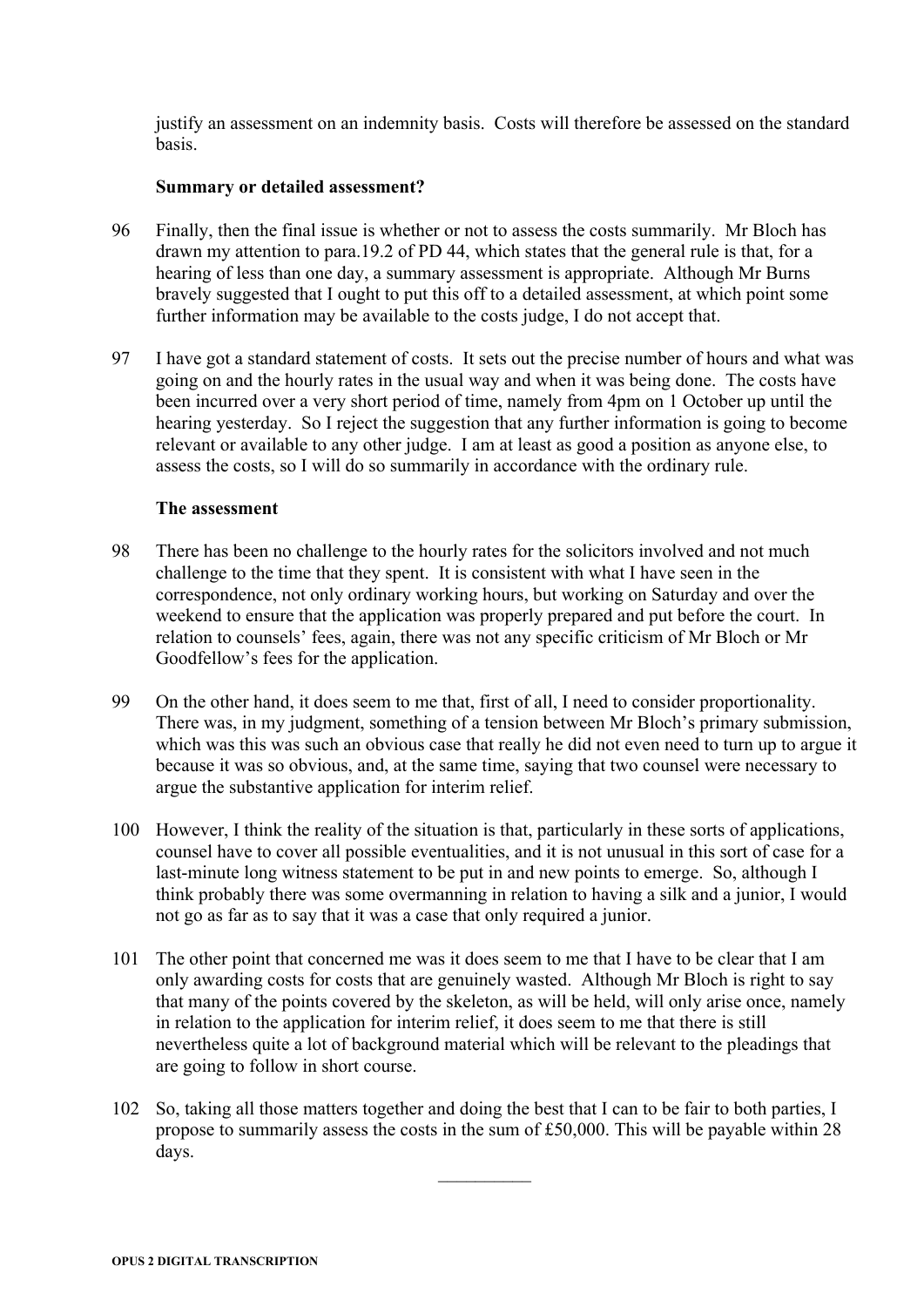justify an assessment on an indemnity basis. Costs will therefore be assessed on the standard basis.

### **Summary or detailed assessment?**

- 96 Finally, then the final issue is whether or not to assess the costs summarily. Mr Bloch has drawn my attention to para.19.2 of PD 44, which states that the general rule is that, for a hearing of less than one day, a summary assessment is appropriate. Although Mr Burns bravely suggested that I ought to put this off to a detailed assessment, at which point some further information may be available to the costs judge, I do not accept that.
- 97 I have got a standard statement of costs. It sets out the precise number of hours and what was going on and the hourly rates in the usual way and when it was being done. The costs have been incurred over a very short period of time, namely from 4pm on 1 October up until the hearing yesterday. So I reject the suggestion that any further information is going to become relevant or available to any other judge. I am at least as good a position as anyone else, to assess the costs, so I will do so summarily in accordance with the ordinary rule.

### **The assessment**

- 98 There has been no challenge to the hourly rates for the solicitors involved and not much challenge to the time that they spent. It is consistent with what I have seen in the correspondence, not only ordinary working hours, but working on Saturday and over the weekend to ensure that the application was properly prepared and put before the court. In relation to counsels' fees, again, there was not any specific criticism of Mr Bloch or Mr Goodfellow's fees for the application.
- 99 On the other hand, it does seem to me that, first of all, I need to consider proportionality. There was, in my judgment, something of a tension between Mr Bloch's primary submission, which was this was such an obvious case that really he did not even need to turn up to argue it because it was so obvious, and, at the same time, saying that two counsel were necessary to argue the substantive application for interim relief.
- 100 However, I think the reality of the situation is that, particularly in these sorts of applications, counsel have to cover all possible eventualities, and it is not unusual in this sort of case for a last-minute long witness statement to be put in and new points to emerge. So, although I think probably there was some overmanning in relation to having a silk and a junior, I would not go as far as to say that it was a case that only required a junior.
- 101 The other point that concerned me was it does seem to me that I have to be clear that I am only awarding costs for costs that are genuinely wasted. Although Mr Bloch is right to say that many of the points covered by the skeleton, as will be held, will only arise once, namely in relation to the application for interim relief, it does seem to me that there is still nevertheless quite a lot of background material which will be relevant to the pleadings that are going to follow in short course.
- 102 So, taking all those matters together and doing the best that I can to be fair to both parties, I propose to summarily assess the costs in the sum of £50,000. This will be payable within 28 days.

 $\frac{1}{2}$